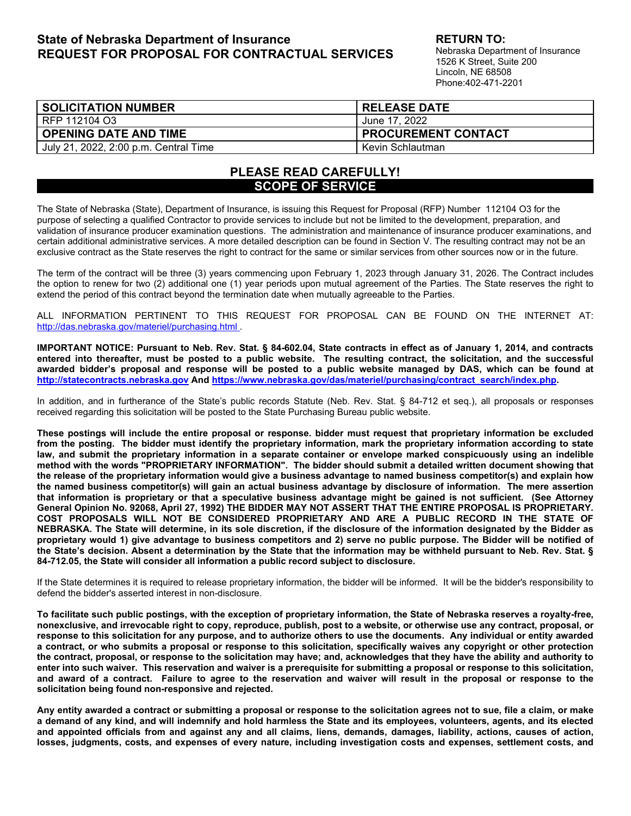# <span id="page-0-0"></span>**State of Nebraska Department of Insurance REQUEST FOR PROPOSAL FOR CONTRACTUAL SERVICES**

**RETURN TO:** 

Nebraska Department of Insurance 1526 K Street, Suite 200 Lincoln, NE 68508 Phone:402-471-2201

| <b>SOLICITATION NUMBER</b>            | <b>RELEASE DATE</b>        |
|---------------------------------------|----------------------------|
| RFP 112104 O3                         | Uune 17. 2022 J            |
| <b>OPENING DATE AND TIME</b>          | <b>PROCUREMENT CONTACT</b> |
| July 21, 2022, 2:00 p.m. Central Time | Kevin Schlautman           |

# **PLEASE READ CAREFULLY! SCOPE OF SERVICE**

The State of Nebraska (State), Department of Insurance, is issuing this Request for Proposal (RFP) Number 112104 O3 for the purpose of selecting a qualified Contractor to provide services to include but not be limited to the development, preparation, and validation of insurance producer examination questions. The administration and maintenance of insurance producer examinations, and certain additional administrative services. A more detailed description can be found in Section V. The resulting contract may not be an exclusive contract as the State reserves the right to contract for the same or similar services from other sources now or in the future.

The term of the contract will be three (3) years commencing upon February 1, 2023 through January 31, 2026. The Contract includes the option to renew for two (2) additional one (1) year periods upon mutual agreement of the Parties. The State reserves the right to extend the period of this contract beyond the termination date when mutually agreeable to the Parties.

ALL INFORMATION PERTINENT TO THIS REQUEST FOR PROPOSAL CAN BE FOUND ON THE INTERNET AT: <http://das.nebraska.gov/materiel/purchasing.html> .

**IMPORTANT NOTICE: Pursuant to Neb. Rev. Stat. § 84-602.04, State contracts in effect as of January 1, 2014, and contracts entered into thereafter, must be posted to a public website. The resulting contract, the solicitation, and the successful awarded bidder's proposal and response will be posted to a public website managed by DAS, which can be found at [http://statecontracts.nebraska.gov](http://statecontracts.nebraska.gov/) An[d https://www.nebraska.gov/das/materiel/purchasing/contract\\_search/index.php.](https://www.nebraska.gov/das/materiel/purchasing/contract_search/index.php)** 

In addition, and in furtherance of the State's public records Statute (Neb. Rev. Stat. § 84-712 et seq.), all proposals or responses received regarding this solicitation will be posted to the State Purchasing Bureau public website.

**These postings will include the entire proposal or response. bidder must request that proprietary information be excluded from the posting. The bidder must identify the proprietary information, mark the proprietary information according to state law, and submit the proprietary information in a separate container or envelope marked conspicuously using an indelible method with the words "PROPRIETARY INFORMATION". The bidder should submit a detailed written document showing that the release of the proprietary information would give a business advantage to named business competitor(s) and explain how the named business competitor(s) will gain an actual business advantage by disclosure of information. The mere assertion that information is proprietary or that a speculative business advantage might be gained is not sufficient. (See Attorney General Opinion No. 92068, April 27, 1992) THE BIDDER MAY NOT ASSERT THAT THE ENTIRE PROPOSAL IS PROPRIETARY. COST PROPOSALS WILL NOT BE CONSIDERED PROPRIETARY AND ARE A PUBLIC RECORD IN THE STATE OF NEBRASKA. The State will determine, in its sole discretion, if the disclosure of the information designated by the Bidder as proprietary would 1) give advantage to business competitors and 2) serve no public purpose. The Bidder will be notified of the State's decision. Absent a determination by the State that the information may be withheld pursuant to Neb. Rev. Stat. § 84-712.05, the State will consider all information a public record subject to disclosure.**

If the State determines it is required to release proprietary information, the bidder will be informed. It will be the bidder's responsibility to defend the bidder's asserted interest in non-disclosure.

**To facilitate such public postings, with the exception of proprietary information, the State of Nebraska reserves a royalty-free, nonexclusive, and irrevocable right to copy, reproduce, publish, post to a website, or otherwise use any contract, proposal, or response to this solicitation for any purpose, and to authorize others to use the documents. Any individual or entity awarded a contract, or who submits a proposal or response to this solicitation, specifically waives any copyright or other protection the contract, proposal, or response to the solicitation may have; and, acknowledges that they have the ability and authority to enter into such waiver. This reservation and waiver is a prerequisite for submitting a proposal or response to this solicitation, and award of a contract. Failure to agree to the reservation and waiver will result in the proposal or response to the solicitation being found non-responsive and rejected.** 

**Any entity awarded a contract or submitting a proposal or response to the solicitation agrees not to sue, file a claim, or make a demand of any kind, and will indemnify and hold harmless the State and its employees, volunteers, agents, and its elected and appointed officials from and against any and all claims, liens, demands, damages, liability, actions, causes of action, losses, judgments, costs, and expenses of every nature, including investigation costs and expenses, settlement costs, and**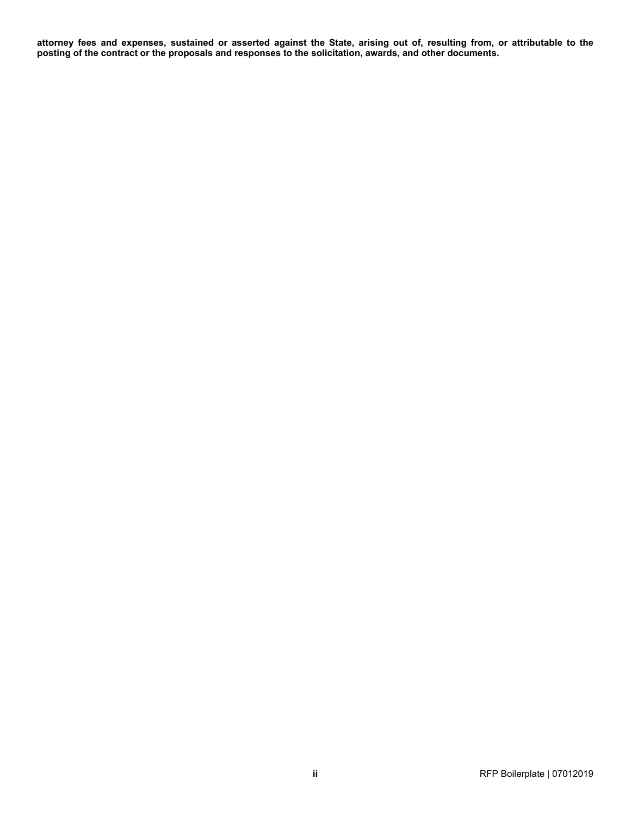**attorney fees and expenses, sustained or asserted against the State, arising out of, resulting from, or attributable to the posting of the contract or the proposals and responses to the solicitation, awards, and other documents.**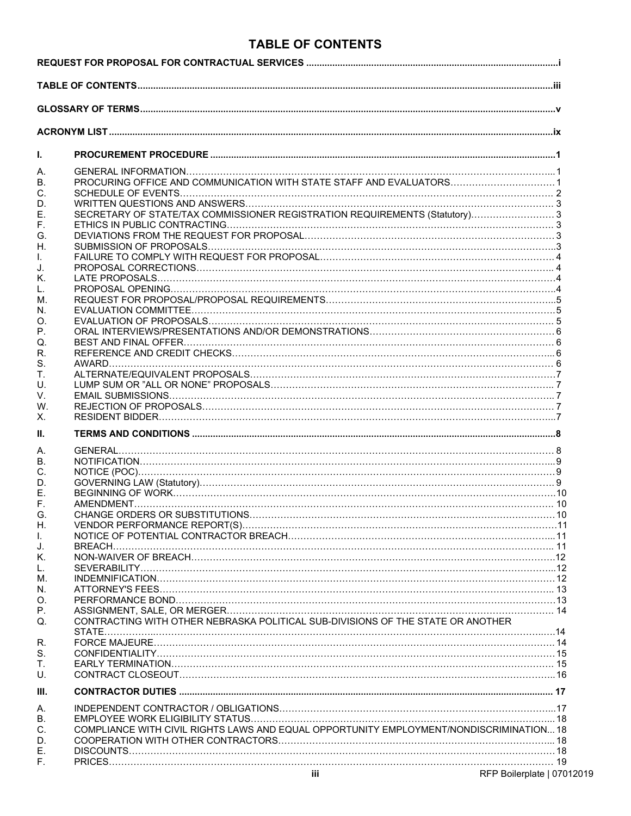# **TABLE OF CONTENTS**

<span id="page-2-0"></span>

| I.       |                                                                                         |  |
|----------|-----------------------------------------------------------------------------------------|--|
| А.       |                                                                                         |  |
| В.       | PROCURING OFFICE AND COMMUNICATION WITH STATE STAFF AND EVALUATORS 1                    |  |
| C.       |                                                                                         |  |
| D.       |                                                                                         |  |
| Е.       | SECRETARY OF STATE/TAX COMMISSIONER REGISTRATION REQUIREMENTS (Statutory) 3             |  |
| F.       |                                                                                         |  |
| G.       |                                                                                         |  |
| Н.       |                                                                                         |  |
| L.       |                                                                                         |  |
| J.       |                                                                                         |  |
| Κ.       |                                                                                         |  |
| L.       |                                                                                         |  |
| М.       |                                                                                         |  |
| N.       |                                                                                         |  |
| O.       |                                                                                         |  |
| Р.       |                                                                                         |  |
| Q.       |                                                                                         |  |
| R.       |                                                                                         |  |
| S.<br>Τ. |                                                                                         |  |
| U.       |                                                                                         |  |
| V.       |                                                                                         |  |
| W.       |                                                                                         |  |
| Х.       |                                                                                         |  |
| н.       |                                                                                         |  |
| А.       |                                                                                         |  |
| В.       |                                                                                         |  |
| C.       |                                                                                         |  |
| D.       |                                                                                         |  |
| Е.       |                                                                                         |  |
| F.       |                                                                                         |  |
| G.       |                                                                                         |  |
| Η.       |                                                                                         |  |
| L        |                                                                                         |  |
| J.       |                                                                                         |  |
| Κ.       |                                                                                         |  |
| L.       |                                                                                         |  |
| М.       |                                                                                         |  |
| N.       |                                                                                         |  |
| O.       |                                                                                         |  |
| Р.       |                                                                                         |  |
| Q.       | CONTRACTING WITH OTHER NEBRASKA POLITICAL SUB-DIVISIONS OF THE STATE OR ANOTHER         |  |
| R.       |                                                                                         |  |
| S.       |                                                                                         |  |
| Τ.       |                                                                                         |  |
| U.       |                                                                                         |  |
| III.     |                                                                                         |  |
| А.       |                                                                                         |  |
| Β.       |                                                                                         |  |
| C.       | COMPLIANCE WITH CIVIL RIGHTS LAWS AND EQUAL OPPORTUNITY EMPLOYMENT/NONDISCRIMINATION 18 |  |
| D.       |                                                                                         |  |
| Ε.       |                                                                                         |  |
| F.       |                                                                                         |  |

**iii** RFP Boilerplate | 07012019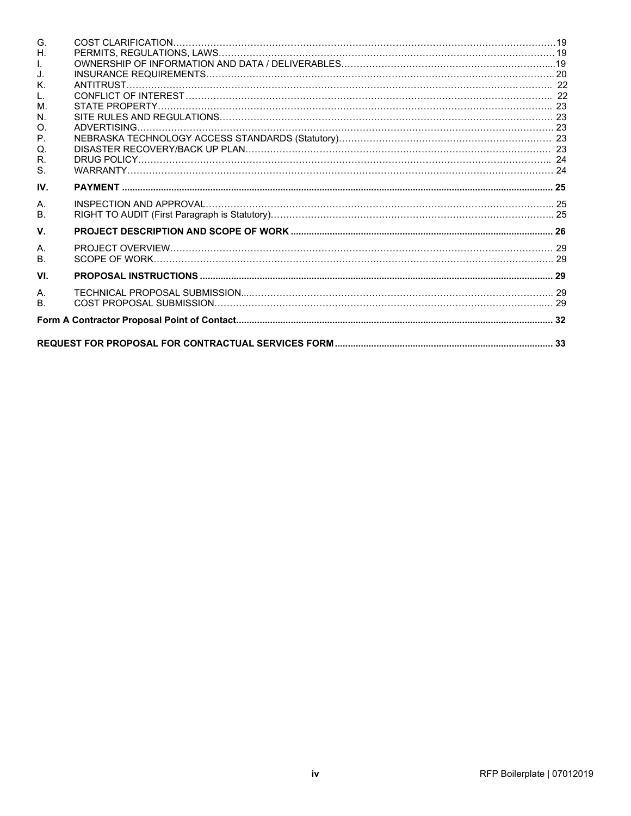| G.             |  |
|----------------|--|
| Η.             |  |
| $\mathbf{L}$   |  |
| J.             |  |
| Κ.             |  |
| L.             |  |
| M.             |  |
| N.             |  |
| O.             |  |
| $P_{\cdot}$    |  |
| Q.             |  |
| R.             |  |
| S.             |  |
| IV.            |  |
| Α.             |  |
| <b>B.</b>      |  |
| V.             |  |
| Α.             |  |
| B <sub>1</sub> |  |
| VI.            |  |
|                |  |
| $\mathsf{A}$   |  |
| B <sub>1</sub> |  |
|                |  |
|                |  |
|                |  |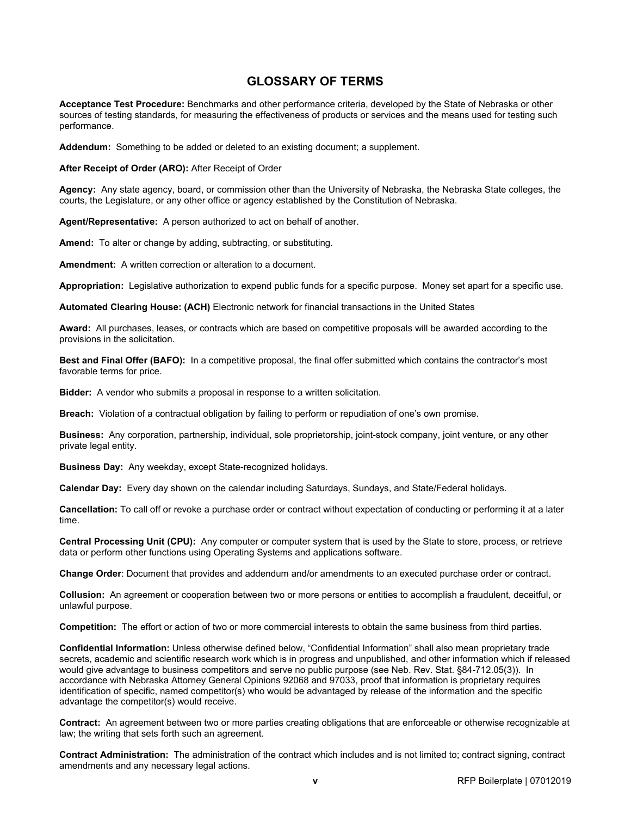# **GLOSSARY OF TERMS**

<span id="page-4-0"></span>**Acceptance Test Procedure:** Benchmarks and other performance criteria, developed by the State of Nebraska or other sources of testing standards, for measuring the effectiveness of products or services and the means used for testing such performance.

**Addendum:** Something to be added or deleted to an existing document; a supplement.

**After Receipt of Order (ARO):** After Receipt of Order

**Agency:** Any state agency, board, or commission other than the University of Nebraska, the Nebraska State colleges, the courts, the Legislature, or any other office or agency established by the Constitution of Nebraska.

**Agent/Representative:** A person authorized to act on behalf of another.

**Amend:** To alter or change by adding, subtracting, or substituting.

**Amendment:** A written correction or alteration to a document.

**Appropriation:** Legislative authorization to expend public funds for a specific purpose. Money set apart for a specific use.

**Automated Clearing House: (ACH)** Electronic network for financial transactions in the United States

**Award:** All purchases, leases, or contracts which are based on competitive proposals will be awarded according to the provisions in the solicitation.

**Best and Final Offer (BAFO):** In a competitive proposal, the final offer submitted which contains the contractor's most favorable terms for price.

**Bidder:** A vendor who submits a proposal in response to a written solicitation.

**Breach:** Violation of a contractual obligation by failing to perform or repudiation of one's own promise.

**Business:** Any corporation, partnership, individual, sole proprietorship, joint-stock company, joint venture, or any other private legal entity.

**Business Day:** Any weekday, except State-recognized holidays.

**Calendar Day:** Every day shown on the calendar including Saturdays, Sundays, and State/Federal holidays.

**Cancellation:** To call off or revoke a purchase order or contract without expectation of conducting or performing it at a later time.

**Central Processing Unit (CPU):** Any computer or computer system that is used by the State to store, process, or retrieve data or perform other functions using Operating Systems and applications software.

**Change Order**: Document that provides and addendum and/or amendments to an executed purchase order or contract.

**Collusion:** An agreement or cooperation between two or more persons or entities to accomplish a fraudulent, deceitful, or unlawful purpose.

**Competition:** The effort or action of two or more commercial interests to obtain the same business from third parties.

**Confidential Information:** Unless otherwise defined below, "Confidential Information" shall also mean proprietary trade secrets, academic and scientific research work which is in progress and unpublished, and other information which if released would give advantage to business competitors and serve no public purpose (see Neb. Rev. Stat. §84-712.05(3)). In accordance with Nebraska Attorney General Opinions 92068 and 97033, proof that information is proprietary requires identification of specific, named competitor(s) who would be advantaged by release of the information and the specific advantage the competitor(s) would receive.

**Contract:** An agreement between two or more parties creating obligations that are enforceable or otherwise recognizable at law; the writing that sets forth such an agreement.

**Contract Administration:** The administration of the contract which includes and is not limited to; contract signing, contract amendments and any necessary legal actions.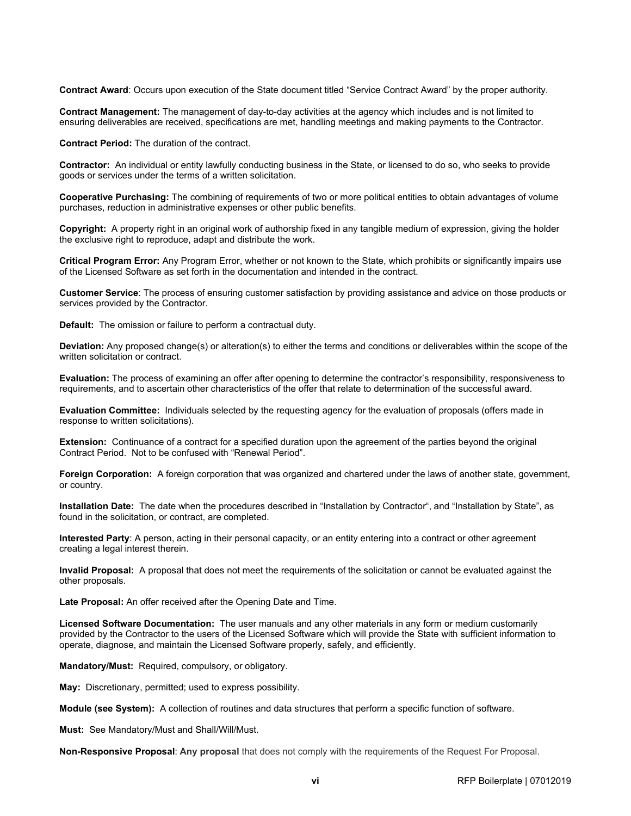**Contract Award**: Occurs upon execution of the State document titled "Service Contract Award" by the proper authority.

**Contract Management:** The management of day-to-day activities at the agency which includes and is not limited to ensuring deliverables are received, specifications are met, handling meetings and making payments to the Contractor.

**Contract Period:** The duration of the contract.

**Contractor:** An individual or entity lawfully conducting business in the State, or licensed to do so, who seeks to provide goods or services under the terms of a written solicitation.

**Cooperative Purchasing:** The combining of requirements of two or more political entities to obtain advantages of volume purchases, reduction in administrative expenses or other public benefits.

**Copyright:** A property right in an original work of authorship fixed in any tangible medium of expression, giving the holder the exclusive right to reproduce, adapt and distribute the work.

**Critical Program Error:** Any Program Error, whether or not known to the State, which prohibits or significantly impairs use of the Licensed Software as set forth in the documentation and intended in the contract.

**Customer Service**: The process of ensuring customer satisfaction by providing assistance and advice on those products or services provided by the Contractor.

**Default:** The omission or failure to perform a contractual duty.

**Deviation:** Any proposed change(s) or alteration(s) to either the terms and conditions or deliverables within the scope of the written solicitation or contract.

**Evaluation:** The process of examining an offer after opening to determine the contractor's responsibility, responsiveness to requirements, and to ascertain other characteristics of the offer that relate to determination of the successful award.

**Evaluation Committee:** Individuals selected by the requesting agency for the evaluation of proposals (offers made in response to written solicitations).

**Extension:** Continuance of a contract for a specified duration upon the agreement of the parties beyond the original Contract Period. Not to be confused with "Renewal Period".

**Foreign Corporation:** A foreign corporation that was organized and chartered under the laws of another state, government, or country.

**Installation Date:** The date when the procedures described in "Installation by Contractor", and "Installation by State", as found in the solicitation, or contract, are completed.

**Interested Party**: A person, acting in their personal capacity, or an entity entering into a contract or other agreement creating a legal interest therein.

**Invalid Proposal:** A proposal that does not meet the requirements of the solicitation or cannot be evaluated against the other proposals.

**Late Proposal:** An offer received after the Opening Date and Time.

**Licensed Software Documentation:** The user manuals and any other materials in any form or medium customarily provided by the Contractor to the users of the Licensed Software which will provide the State with sufficient information to operate, diagnose, and maintain the Licensed Software properly, safely, and efficiently.

**Mandatory/Must:** Required, compulsory, or obligatory.

**May:** Discretionary, permitted; used to express possibility.

**Module (see System):** A collection of routines and data structures that perform a specific function of software.

**Must:** See Mandatory/Must and Shall/Will/Must.

**Non-Responsive Proposal**: **Any proposal** that does not comply with the requirements of the Request For Proposal.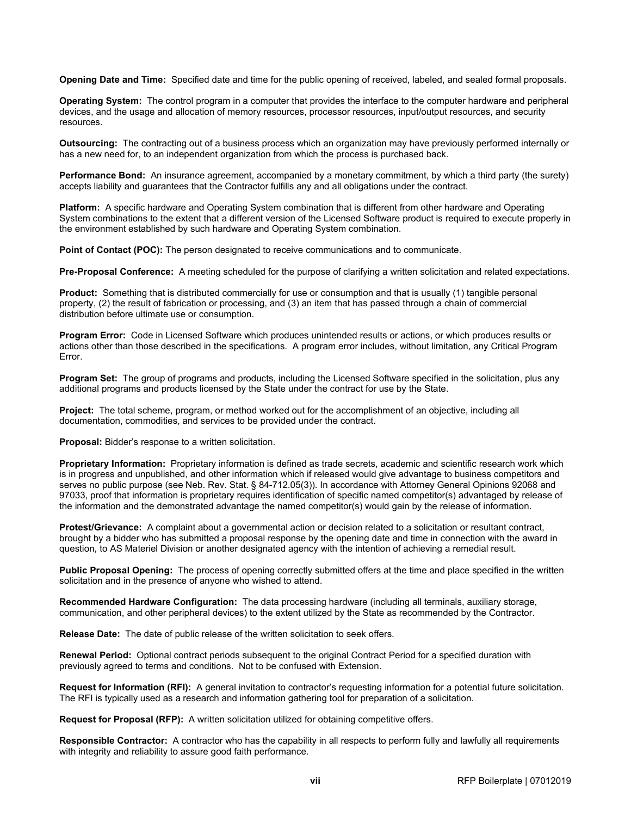**Opening Date and Time:** Specified date and time for the public opening of received, labeled, and sealed formal proposals.

**Operating System:** The control program in a computer that provides the interface to the computer hardware and peripheral devices, and the usage and allocation of memory resources, processor resources, input/output resources, and security resources.

**Outsourcing:** The contracting out of a business process which an organization may have previously performed internally or has a new need for, to an independent organization from which the process is purchased back.

**Performance Bond:** An insurance agreement, accompanied by a monetary commitment, by which a third party (the surety) accepts liability and guarantees that the Contractor fulfills any and all obligations under the contract.

**Platform:** A specific hardware and Operating System combination that is different from other hardware and Operating System combinations to the extent that a different version of the Licensed Software product is required to execute properly in the environment established by such hardware and Operating System combination.

**Point of Contact (POC):** The person designated to receive communications and to communicate.

**Pre-Proposal Conference:** A meeting scheduled for the purpose of clarifying a written solicitation and related expectations.

**Product:** Something that is distributed commercially for use or consumption and that is usually (1) tangible personal property, (2) the result of fabrication or processing, and (3) an item that has passed through a chain of commercial distribution before ultimate use or consumption.

**Program Error:** Code in Licensed Software which produces unintended results or actions, or which produces results or actions other than those described in the specifications. A program error includes, without limitation, any Critical Program Error.

**Program Set:** The group of programs and products, including the Licensed Software specified in the solicitation, plus any additional programs and products licensed by the State under the contract for use by the State.

**Project:** The total scheme, program, or method worked out for the accomplishment of an objective, including all documentation, commodities, and services to be provided under the contract.

**Proposal:** Bidder's response to a written solicitation.

**Proprietary Information:** Proprietary information is defined as trade secrets, academic and scientific research work which is in progress and unpublished, and other information which if released would give advantage to business competitors and serves no public purpose (see Neb. Rev. Stat. § 84-712.05(3)). In accordance with Attorney General Opinions 92068 and 97033, proof that information is proprietary requires identification of specific named competitor(s) advantaged by release of the information and the demonstrated advantage the named competitor(s) would gain by the release of information.

**Protest/Grievance:** A complaint about a governmental action or decision related to a solicitation or resultant contract, brought by a bidder who has submitted a proposal response by the opening date and time in connection with the award in question, to AS Materiel Division or another designated agency with the intention of achieving a remedial result.

**Public Proposal Opening:** The process of opening correctly submitted offers at the time and place specified in the written solicitation and in the presence of anyone who wished to attend.

**Recommended Hardware Configuration:** The data processing hardware (including all terminals, auxiliary storage, communication, and other peripheral devices) to the extent utilized by the State as recommended by the Contractor.

**Release Date:** The date of public release of the written solicitation to seek offers.

**Renewal Period:** Optional contract periods subsequent to the original Contract Period for a specified duration with previously agreed to terms and conditions. Not to be confused with Extension.

**Request for Information (RFI):** A general invitation to contractor's requesting information for a potential future solicitation. The RFI is typically used as a research and information gathering tool for preparation of a solicitation.

**Request for Proposal (RFP):** A written solicitation utilized for obtaining competitive offers.

**Responsible Contractor:** A contractor who has the capability in all respects to perform fully and lawfully all requirements with integrity and reliability to assure good faith performance.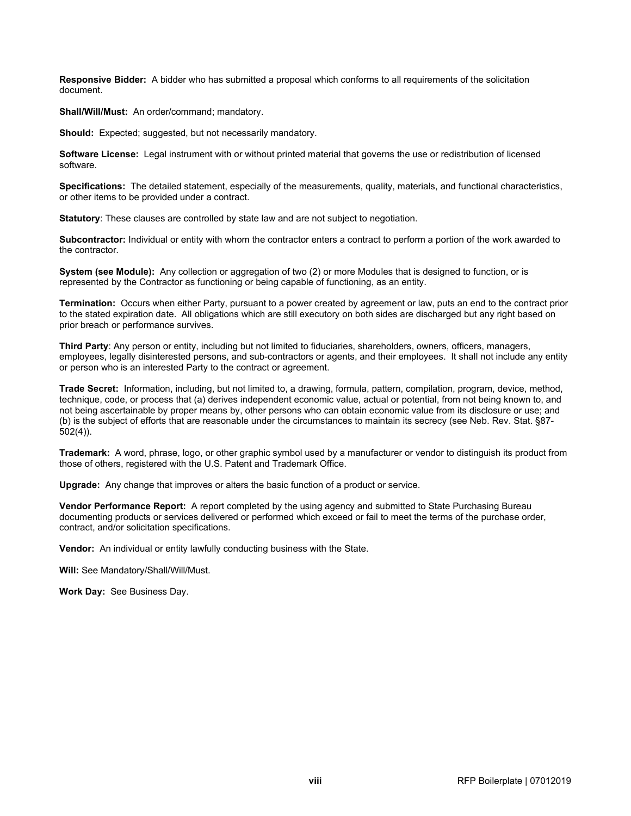**Responsive Bidder:** A bidder who has submitted a proposal which conforms to all requirements of the solicitation document.

**Shall/Will/Must:** An order/command; mandatory.

**Should:** Expected; suggested, but not necessarily mandatory.

**Software License:** Legal instrument with or without printed material that governs the use or redistribution of licensed software.

**Specifications:** The detailed statement, especially of the measurements, quality, materials, and functional characteristics, or other items to be provided under a contract.

**Statutory**: These clauses are controlled by state law and are not subject to negotiation.

**Subcontractor:** Individual or entity with whom the contractor enters a contract to perform a portion of the work awarded to the contractor.

**System (see Module):** Any collection or aggregation of two (2) or more Modules that is designed to function, or is represented by the Contractor as functioning or being capable of functioning, as an entity.

**Termination:** Occurs when either Party, pursuant to a power created by agreement or law, puts an end to the contract prior to the stated expiration date. All obligations which are still executory on both sides are discharged but any right based on prior breach or performance survives.

**Third Party**: Any person or entity, including but not limited to fiduciaries, shareholders, owners, officers, managers, employees, legally disinterested persons, and sub-contractors or agents, and their employees. It shall not include any entity or person who is an interested Party to the contract or agreement.

**Trade Secret:** Information, including, but not limited to, a drawing, formula, pattern, compilation, program, device, method, technique, code, or process that (a) derives independent economic value, actual or potential, from not being known to, and not being ascertainable by proper means by, other persons who can obtain economic value from its disclosure or use; and (b) is the subject of efforts that are reasonable under the circumstances to maintain its secrecy (see Neb. Rev. Stat. §87- 502(4)).

**Trademark:** A word, phrase, logo, or other graphic symbol used by a manufacturer or vendor to distinguish its product from those of others, registered with the U.S. Patent and Trademark Office.

**Upgrade:** Any change that improves or alters the basic function of a product or service.

**Vendor Performance Report:** A report completed by the using agency and submitted to State Purchasing Bureau documenting products or services delivered or performed which exceed or fail to meet the terms of the purchase order, contract, and/or solicitation specifications.

**Vendor:** An individual or entity lawfully conducting business with the State.

**Will:** See Mandatory/Shall/Will/Must.

**Work Day:** See Business Day.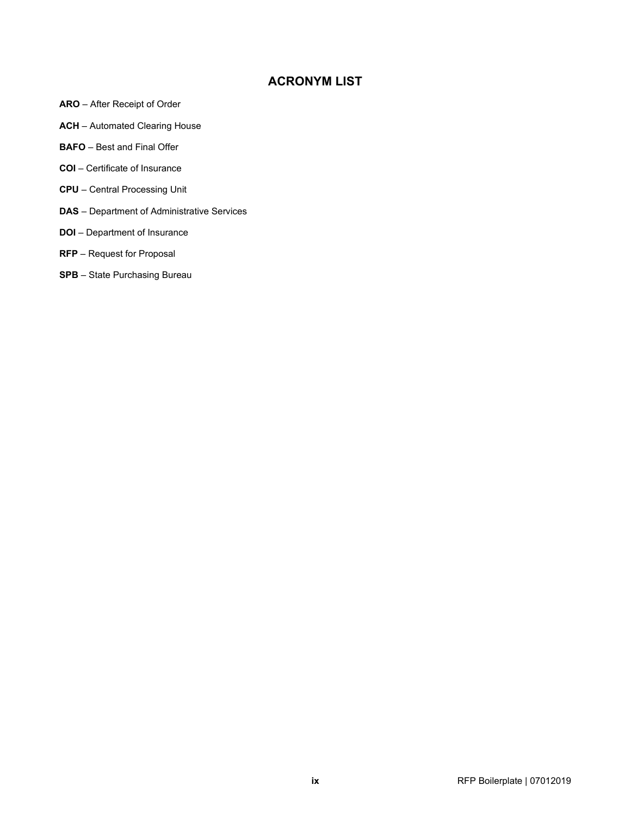# **ACRONYM LIST**

- <span id="page-8-0"></span>**ARO** – After Receipt of Order
- **ACH** Automated Clearing House
- **BAFO** Best and Final Offer
- **COI** Certificate of Insurance
- **CPU** Central Processing Unit
- **DAS** Department of Administrative Services
- **DOI** Department of Insurance
- **RFP** Request for Proposal
- **SPB** State Purchasing Bureau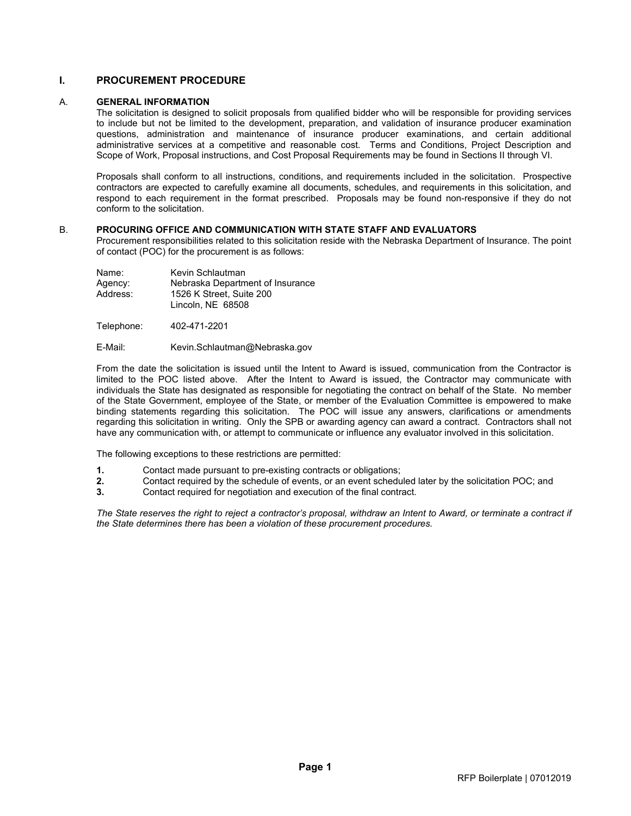# **I. PROCUREMENT PROCEDURE**

### <span id="page-9-1"></span>A. **GENERAL INFORMATION**

<span id="page-9-0"></span>The solicitation is designed to solicit proposals from qualified bidder who will be responsible for providing services to include but not be limited to the development, preparation, and validation of insurance producer examination questions, administration and maintenance of insurance producer examinations, and certain additional administrative services at a competitive and reasonable cost. Terms and Conditions, Project Description and Scope of Work, Proposal instructions, and Cost Proposal Requirements may be found in Sections II through VI.

Proposals shall conform to all instructions, conditions, and requirements included in the solicitation. Prospective contractors are expected to carefully examine all documents, schedules, and requirements in this solicitation, and respond to each requirement in the format prescribed. Proposals may be found non-responsive if they do not conform to the solicitation.

#### <span id="page-9-2"></span>B. **PROCURING OFFICE AND COMMUNICATION WITH STATE STAFF AND EVALUATORS**

Procurement responsibilities related to this solicitation reside with the Nebraska Department of Insurance. The point of contact (POC) for the procurement is as follows:

| Name:    | Kevin Schlautman                 |
|----------|----------------------------------|
| Agency:  | Nebraska Department of Insurance |
| Address: | 1526 K Street, Suite 200         |
|          | Lincoln. NE 68508                |

Telephone: 402-471-2201

#### E-Mail: Kevin.Schlautman@Nebraska.gov

From the date the solicitation is issued until the Intent to Award is issued, communication from the Contractor is limited to the POC listed above. After the Intent to Award is issued, the Contractor may communicate with individuals the State has designated as responsible for negotiating the contract on behalf of the State. No member of the State Government, employee of the State, or member of the Evaluation Committee is empowered to make binding statements regarding this solicitation. The POC will issue any answers, clarifications or amendments regarding this solicitation in writing. Only the SPB or awarding agency can award a contract. Contractors shall not have any communication with, or attempt to communicate or influence any evaluator involved in this solicitation.

The following exceptions to these restrictions are permitted:

- **1.** Contact made pursuant to pre-existing contracts or obligations;<br>**2.** Contact required by the schedule of events, or an event schedu
- **2.** Contact required by the schedule of events, or an event scheduled later by the solicitation POC; and **3.** Contact required for negotiation and execution of the final contract.
- **3.** Contact required for negotiation and execution of the final contract.

*The State reserves the right to reject a contractor's proposal, withdraw an Intent to Award, or terminate a contract if the State determines there has been a violation of these procurement procedures.*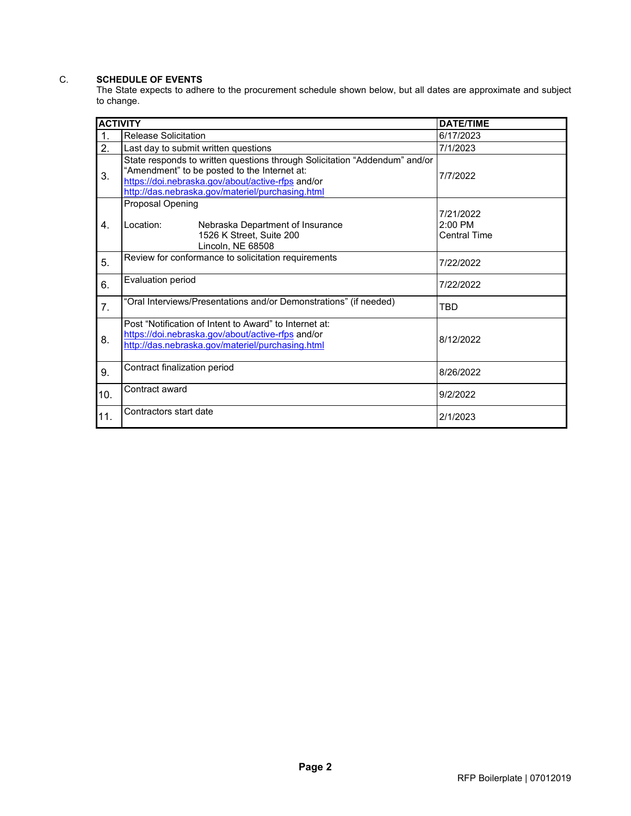# <span id="page-10-0"></span>C. **SCHEDULE OF EVENTS**

The State expects to adhere to the procurement schedule shown below, but all dates are approximate and subject to change.

| <b>ACTIVITY</b>  |                                                                                                                                                                                                                                     | <b>DATE/TIME</b>                              |
|------------------|-------------------------------------------------------------------------------------------------------------------------------------------------------------------------------------------------------------------------------------|-----------------------------------------------|
| $\mathbf 1$ .    | <b>Release Solicitation</b>                                                                                                                                                                                                         | 6/17/2023                                     |
| 2.               | Last day to submit written questions                                                                                                                                                                                                | 7/1/2023                                      |
| 3.               | State responds to written questions through Solicitation "Addendum" and/or<br>"Amendment" to be posted to the Internet at:<br>https://doi.nebraska.gov/about/active-rfps and/or<br>http://das.nebraska.gov/materiel/purchasing.html | 7/7/2022                                      |
| $\overline{4}$ . | Proposal Opening<br>Location:<br>Nebraska Department of Insurance<br>1526 K Street, Suite 200<br>Lincoln, NE 68508                                                                                                                  | 7/21/2022<br>$2:00$ PM<br><b>Central Time</b> |
| 5.               | Review for conformance to solicitation requirements                                                                                                                                                                                 | 7/22/2022                                     |
| 6.               | Evaluation period                                                                                                                                                                                                                   | 7/22/2022                                     |
| 7.               | "Oral Interviews/Presentations and/or Demonstrations" (if needed)                                                                                                                                                                   | TBD                                           |
| 8.               | Post "Notification of Intent to Award" to Internet at:<br>https://doi.nebraska.gov/about/active-rfps and/or<br>http://das.nebraska.gov/materiel/purchasing.html                                                                     | 8/12/2022                                     |
| 9.               | Contract finalization period                                                                                                                                                                                                        | 8/26/2022                                     |
| 10.              | Contract award                                                                                                                                                                                                                      | 9/2/2022                                      |
| 11.              | Contractors start date                                                                                                                                                                                                              | 2/1/2023                                      |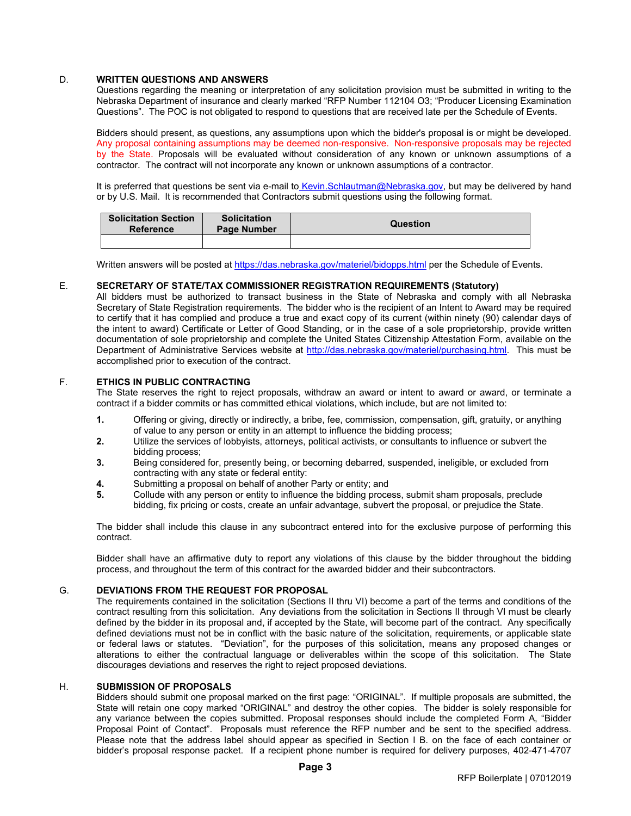### <span id="page-11-0"></span>D. **WRITTEN QUESTIONS AND ANSWERS**

Questions regarding the meaning or interpretation of any solicitation provision must be submitted in writing to the Nebraska Department of insurance and clearly marked "RFP Number 112104 O3; "Producer Licensing Examination Questions". The POC is not obligated to respond to questions that are received late per the Schedule of Events.

Bidders should present, as questions, any assumptions upon which the bidder's proposal is or might be developed. Any proposal containing assumptions may be deemed non-responsive. Non-responsive proposals may be rejected by the State. Proposals will be evaluated without consideration of any known or unknown assumptions of a contractor. The contract will not incorporate any known or unknown assumptions of a contractor.

It is preferred that questions be sent via e-mail to Kevin.Schlautman@Nebraska.gov, but may be delivered by hand or by U.S. Mail. It is recommended that Contractors submit questions using the following format.

| Solicitation Section<br><b>Reference</b> | <b>Solicitation</b><br><b>Page Number</b> | Question |  |
|------------------------------------------|-------------------------------------------|----------|--|
|                                          |                                           |          |  |

Written answers will be posted a[t https://das.nebraska.gov/materiel/bidopps.html](https://das.nebraska.gov/materiel/bidopps.html) per the Schedule of Events.

#### E. **SECRETARY OF STATE/TAX COMMISSIONER REGISTRATION REQUIREMENTS (Statutory)**

<span id="page-11-1"></span>All bidders must be authorized to transact business in the State of Nebraska and comply with all Nebraska Secretary of State Registration requirements. The bidder who is the recipient of an Intent to Award may be required to certify that it has complied and produce a true and exact copy of its current (within ninety (90) calendar days of the intent to award) Certificate or Letter of Good Standing, or in the case of a sole proprietorship, provide written documentation of sole proprietorship and complete the United States Citizenship Attestation Form, available on the Department of Administrative Services website at [http://das.nebraska.gov/materiel/purchasing.html.](http://das.nebraska.gov/materiel/purchasing.html) This must be accomplished prior to execution of the contract.

#### <span id="page-11-2"></span>F. **ETHICS IN PUBLIC CONTRACTING**

The State reserves the right to reject proposals, withdraw an award or intent to award or award, or terminate a contract if a bidder commits or has committed ethical violations, which include, but are not limited to:

- **1.** Offering or giving, directly or indirectly, a bribe, fee, commission, compensation, gift, gratuity, or anything of value to any person or entity in an attempt to influence the bidding process;
- **2.** Utilize the services of lobbyists, attorneys, political activists, or consultants to influence or subvert the bidding process;
- **3.** Being considered for, presently being, or becoming debarred, suspended, ineligible, or excluded from contracting with any state or federal entity:
- **4.** Submitting a proposal on behalf of another Party or entity; and
- **5.** Collude with any person or entity to influence the bidding process, submit sham proposals, preclude bidding, fix pricing or costs, create an unfair advantage, subvert the proposal, or prejudice the State.

The bidder shall include this clause in any subcontract entered into for the exclusive purpose of performing this contract.

Bidder shall have an affirmative duty to report any violations of this clause by the bidder throughout the bidding process, and throughout the term of this contract for the awarded bidder and their subcontractors.

### <span id="page-11-3"></span>G. **DEVIATIONS FROM THE REQUEST FOR PROPOSAL**

The requirements contained in the solicitation (Sections II thru VI) become a part of the terms and conditions of the contract resulting from this solicitation. Any deviations from the solicitation in Sections II through VI must be clearly defined by the bidder in its proposal and, if accepted by the State, will become part of the contract. Any specifically defined deviations must not be in conflict with the basic nature of the solicitation, requirements, or applicable state or federal laws or statutes. "Deviation", for the purposes of this solicitation, means any proposed changes or alterations to either the contractual language or deliverables within the scope of this solicitation. The State discourages deviations and reserves the right to reject proposed deviations.

#### <span id="page-11-4"></span>H. **SUBMISSION OF PROPOSALS**

Bidders should submit one proposal marked on the first page: "ORIGINAL". If multiple proposals are submitted, the State will retain one copy marked "ORIGINAL" and destroy the other copies. The bidder is solely responsible for any variance between the copies submitted. Proposal responses should include the completed Form A, "Bidder Proposal Point of Contact". Proposals must reference the RFP number and be sent to the specified address. Please note that the address label should appear as specified in Section I B. on the face of each container or bidder's proposal response packet. If a recipient phone number is required for delivery purposes, 402-471-4707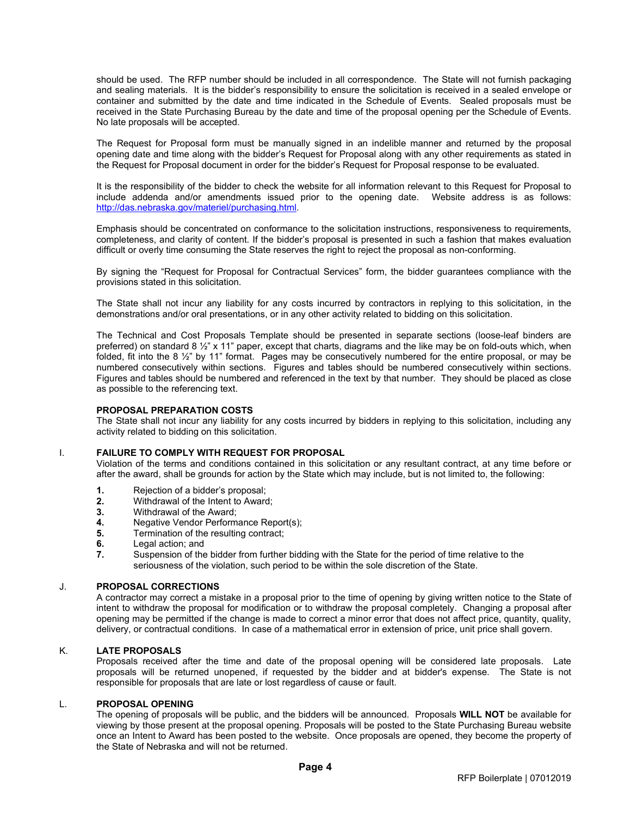should be used. The RFP number should be included in all correspondence. The State will not furnish packaging and sealing materials. It is the bidder's responsibility to ensure the solicitation is received in a sealed envelope or container and submitted by the date and time indicated in the Schedule of Events. Sealed proposals must be received in the State Purchasing Bureau by the date and time of the proposal opening per the Schedule of Events. No late proposals will be accepted.

The Request for Proposal form must be manually signed in an indelible manner and returned by the proposal opening date and time along with the bidder's Request for Proposal along with any other requirements as stated in the Request for Proposal document in order for the bidder's Request for Proposal response to be evaluated.

It is the responsibility of the bidder to check the website for all information relevant to this Request for Proposal to include addenda and/or amendments issued prior to the opening date. Website address is as follows: [http://das.nebraska.gov/materiel/purchasing.html.](http://das.nebraska.gov/materiel/purchasing.html)

Emphasis should be concentrated on conformance to the solicitation instructions, responsiveness to requirements, completeness, and clarity of content. If the bidder's proposal is presented in such a fashion that makes evaluation difficult or overly time consuming the State reserves the right to reject the proposal as non-conforming.

By signing the "Request for Proposal for Contractual Services" form, the bidder guarantees compliance with the provisions stated in this solicitation.

The State shall not incur any liability for any costs incurred by contractors in replying to this solicitation, in the demonstrations and/or oral presentations, or in any other activity related to bidding on this solicitation.

The Technical and Cost Proposals Template should be presented in separate sections (loose-leaf binders are preferred) on standard 8  $\frac{1}{2}$ " x 11" paper, except that charts, diagrams and the like may be on fold-outs which, when folded, fit into the 8 ½" by 11" format. Pages may be consecutively numbered for the entire proposal, or may be numbered consecutively within sections. Figures and tables should be numbered consecutively within sections. Figures and tables should be numbered and referenced in the text by that number. They should be placed as close as possible to the referencing text.

#### **PROPOSAL PREPARATION COSTS**

The State shall not incur any liability for any costs incurred by bidders in replying to this solicitation, including any activity related to bidding on this solicitation.

### <span id="page-12-0"></span>I. **FAILURE TO COMPLY WITH REQUEST FOR PROPOSAL**

Violation of the terms and conditions contained in this solicitation or any resultant contract, at any time before or after the award, shall be grounds for action by the State which may include, but is not limited to, the following:

- **1.** Rejection of a bidder's proposal;<br>**2.** Withdrawal of the Intent to Award
- **2.** Withdrawal of the Intent to Award;
- **3.** Withdrawal of the Award;<br>**4.** Negative Vendor Perform
- **4.** Negative Vendor Performance Report(s);<br>**5.** Termination of the resulting contract:
- **5.** Termination of the resulting contract;<br>**6.** Legal action: and
- **6.** Legal action; and<br>**7.** Suspension of the
- **7.** Suspension of the bidder from further bidding with the State for the period of time relative to the seriousness of the violation, such period to be within the sole discretion of the State.

#### <span id="page-12-1"></span>J. **PROPOSAL CORRECTIONS**

A contractor may correct a mistake in a proposal prior to the time of opening by giving written notice to the State of intent to withdraw the proposal for modification or to withdraw the proposal completely. Changing a proposal after opening may be permitted if the change is made to correct a minor error that does not affect price, quantity, quality, delivery, or contractual conditions. In case of a mathematical error in extension of price, unit price shall govern.

#### <span id="page-12-2"></span>K. **LATE PROPOSALS**

Proposals received after the time and date of the proposal opening will be considered late proposals. Late proposals will be returned unopened, if requested by the bidder and at bidder's expense. The State is not responsible for proposals that are late or lost regardless of cause or fault.

### <span id="page-12-3"></span>L. **PROPOSAL OPENING**

The opening of proposals will be public, and the bidders will be announced. Proposals **WILL NOT** be available for viewing by those present at the proposal opening. Proposals will be posted to the State Purchasing Bureau website once an Intent to Award has been posted to the website. Once proposals are opened, they become the property of the State of Nebraska and will not be returned.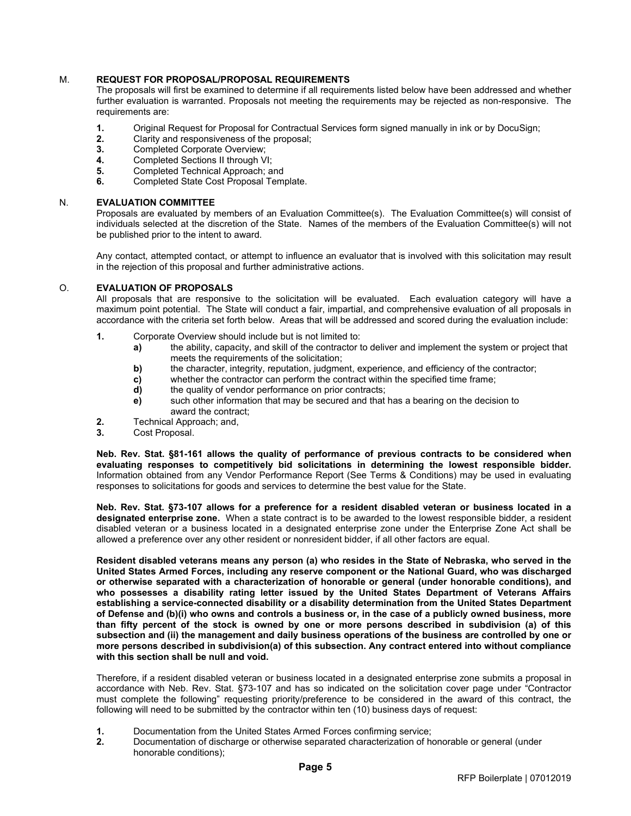## <span id="page-13-0"></span>M. **REQUEST FOR PROPOSAL/PROPOSAL REQUIREMENTS**

The proposals will first be examined to determine if all requirements listed below have been addressed and whether further evaluation is warranted. Proposals not meeting the requirements may be rejected as non-responsive. The requirements are:

- **1.** Original Request for Proposal for Contractual Services form signed manually in ink or by DocuSign;
- **2.** Clarity and responsiveness of the proposal;
- **3.** Completed Corporate Overview;
- **4.** Completed Sections II through VI;<br>**5.** Completed Technical Approach: a
- **5.** Completed Technical Approach; and<br>**6.** Completed State Cost Proposal Tem
- **6.** Completed State Cost Proposal Template.

### <span id="page-13-1"></span>N. **EVALUATION COMMITTEE**

Proposals are evaluated by members of an Evaluation Committee(s). The Evaluation Committee(s) will consist of individuals selected at the discretion of the State. Names of the members of the Evaluation Committee(s) will not be published prior to the intent to award.

Any contact, attempted contact, or attempt to influence an evaluator that is involved with this solicitation may result in the rejection of this proposal and further administrative actions.

### <span id="page-13-2"></span>O. **EVALUATION OF PROPOSALS**

All proposals that are responsive to the solicitation will be evaluated. Each evaluation category will have a maximum point potential. The State will conduct a fair, impartial, and comprehensive evaluation of all proposals in accordance with the criteria set forth below. Areas that will be addressed and scored during the evaluation include:

- **1.** Corporate Overview should include but is not limited to:
	- **a)** the ability, capacity, and skill of the contractor to deliver and implement the system or project that meets the requirements of the solicitation;
	- **b)** the character, integrity, reputation, judgment, experience, and efficiency of the contractor;
	- **c)** whether the contractor can perform the contract within the specified time frame;<br> **d)** the quality of vendor performance on prior contracts;
	- **d)** the quality of vendor performance on prior contracts;
	- **e)** such other information that may be secured and that has a bearing on the decision to award the contract;
- **2.** Technical Approach; and,<br>**3.** Cost Proposal.
- **3.** Cost Proposal.

**Neb. Rev. Stat. §81-161 allows the quality of performance of previous contracts to be considered when evaluating responses to competitively bid solicitations in determining the lowest responsible bidder.**  Information obtained from any Vendor Performance Report (See Terms & Conditions) may be used in evaluating responses to solicitations for goods and services to determine the best value for the State.

**Neb. Rev. Stat. §73-107 allows for a preference for a resident disabled veteran or business located in a designated enterprise zone.** When a state contract is to be awarded to the lowest responsible bidder, a resident disabled veteran or a business located in a designated enterprise zone under the Enterprise Zone Act shall be allowed a preference over any other resident or nonresident bidder, if all other factors are equal.

**Resident disabled veterans means any person (a) who resides in the State of Nebraska, who served in the United States Armed Forces, including any reserve component or the National Guard, who was discharged or otherwise separated with a characterization of honorable or general (under honorable conditions), and who possesses a disability rating letter issued by the United States Department of Veterans Affairs establishing a service-connected disability or a disability determination from the United States Department of Defense and (b)(i) who owns and controls a business or, in the case of a publicly owned business, more than fifty percent of the stock is owned by one or more persons described in subdivision (a) of this subsection and (ii) the management and daily business operations of the business are controlled by one or more persons described in subdivision(a) of this subsection. Any contract entered into without compliance with this section shall be null and void.**

Therefore, if a resident disabled veteran or business located in a designated enterprise zone submits a proposal in accordance with Neb. Rev. Stat. §73-107 and has so indicated on the solicitation cover page under "Contractor must complete the following" requesting priority/preference to be considered in the award of this contract, the following will need to be submitted by the contractor within ten (10) business days of request:

- **1.** Documentation from the United States Armed Forces confirming service;<br>**2.** Documentation of discharge or otherwise separated characterization of he
- **2.** Documentation of discharge or otherwise separated characterization of honorable or general (under honorable conditions);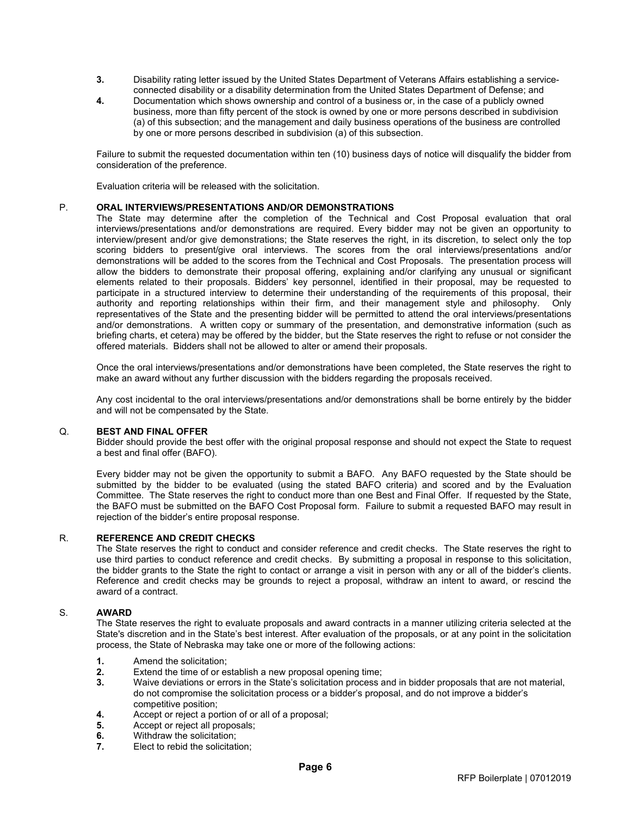- **3.** Disability rating letter issued by the United States Department of Veterans Affairs establishing a serviceconnected disability or a disability determination from the United States Department of Defense; and
- **4.** Documentation which shows ownership and control of a business or, in the case of a publicly owned business, more than fifty percent of the stock is owned by one or more persons described in subdivision (a) of this subsection; and the management and daily business operations of the business are controlled by one or more persons described in subdivision (a) of this subsection.

Failure to submit the requested documentation within ten (10) business days of notice will disqualify the bidder from consideration of the preference.

Evaluation criteria will be released with the solicitation.

### <span id="page-14-0"></span>P. **ORAL INTERVIEWS/PRESENTATIONS AND/OR DEMONSTRATIONS**

The State may determine after the completion of the Technical and Cost Proposal evaluation that oral interviews/presentations and/or demonstrations are required. Every bidder may not be given an opportunity to interview/present and/or give demonstrations; the State reserves the right, in its discretion, to select only the top scoring bidders to present/give oral interviews. The scores from the oral interviews/presentations and/or demonstrations will be added to the scores from the Technical and Cost Proposals. The presentation process will allow the bidders to demonstrate their proposal offering, explaining and/or clarifying any unusual or significant elements related to their proposals. Bidders' key personnel, identified in their proposal, may be requested to participate in a structured interview to determine their understanding of the requirements of this proposal, their authority and reporting relationships within their firm, and their management style and philosophy. Only representatives of the State and the presenting bidder will be permitted to attend the oral interviews/presentations and/or demonstrations. A written copy or summary of the presentation, and demonstrative information (such as briefing charts, et cetera) may be offered by the bidder, but the State reserves the right to refuse or not consider the offered materials. Bidders shall not be allowed to alter or amend their proposals.

Once the oral interviews/presentations and/or demonstrations have been completed, the State reserves the right to make an award without any further discussion with the bidders regarding the proposals received.

Any cost incidental to the oral interviews/presentations and/or demonstrations shall be borne entirely by the bidder and will not be compensated by the State.

#### <span id="page-14-1"></span>Q. **BEST AND FINAL OFFER**

Bidder should provide the best offer with the original proposal response and should not expect the State to request a best and final offer (BAFO).

Every bidder may not be given the opportunity to submit a BAFO. Any BAFO requested by the State should be submitted by the bidder to be evaluated (using the stated BAFO criteria) and scored and by the Evaluation Committee. The State reserves the right to conduct more than one Best and Final Offer. If requested by the State, the BAFO must be submitted on the BAFO Cost Proposal form. Failure to submit a requested BAFO may result in rejection of the bidder's entire proposal response.

#### <span id="page-14-2"></span>R. **REFERENCE AND CREDIT CHECKS**

The State reserves the right to conduct and consider reference and credit checks. The State reserves the right to use third parties to conduct reference and credit checks. By submitting a proposal in response to this solicitation, the bidder grants to the State the right to contact or arrange a visit in person with any or all of the bidder's clients. Reference and credit checks may be grounds to reject a proposal, withdraw an intent to award, or rescind the award of a contract.

### <span id="page-14-3"></span>S. **AWARD**

The State reserves the right to evaluate proposals and award contracts in a manner utilizing criteria selected at the State's discretion and in the State's best interest. After evaluation of the proposals, or at any point in the solicitation process, the State of Nebraska may take one or more of the following actions:

- **1.** Amend the solicitation;
- **2.** Extend the time of or establish a new proposal opening time;
- **3.** Waive deviations or errors in the State's solicitation process and in bidder proposals that are not material, do not compromise the solicitation process or a bidder's proposal, and do not improve a bidder's competitive position;
- **4.** Accept or reject a portion of or all of a proposal;<br>**5.** Accept or reject all proposals;
- **5.** Accept or reject all proposals;
- **6.** Withdraw the solicitation;<br>**7**. **Elect to rebid the solicitation**
- **7.** Elect to rebid the solicitation;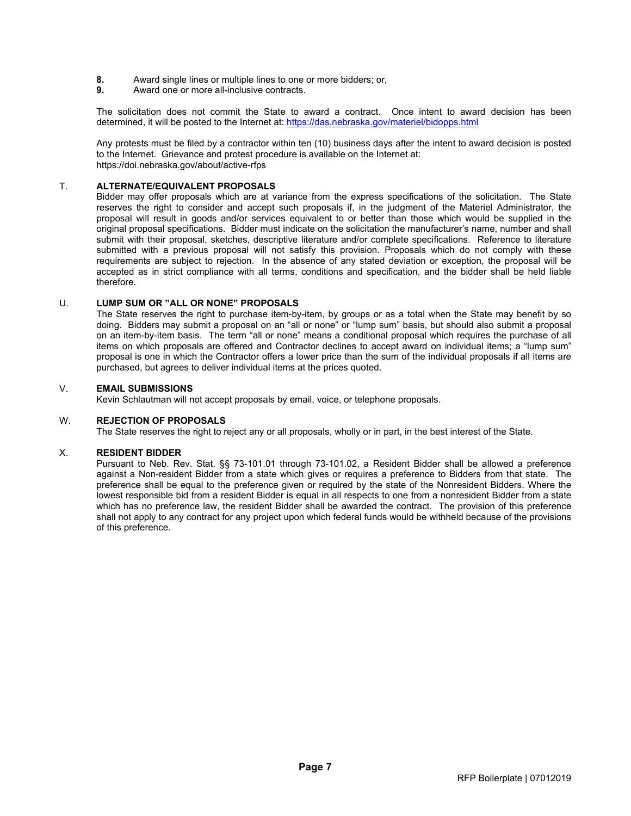- **8.** Award single lines or multiple lines to one or more bidders; or, **9.** Award one or more all-inclusive contracts.
- **9.** Award one or more all-inclusive contracts.

The solicitation does not commit the State to award a contract. Once intent to award decision has been determined, it will be posted to the Internet at: <https://das.nebraska.gov/materiel/bidopps.html>

Any protests must be filed by a contractor within ten (10) business days after the intent to award decision is posted to the Internet. Grievance and protest procedure is available on the Internet at: https://doi.nebraska.gov/about/active-rfps

#### T. **ALTERNATE/EQUIVALENT PROPOSALS**

<span id="page-15-0"></span>Bidder may offer proposals which are at variance from the express specifications of the solicitation. The State reserves the right to consider and accept such proposals if, in the judgment of the Materiel Administrator, the proposal will result in goods and/or services equivalent to or better than those which would be supplied in the original proposal specifications. Bidder must indicate on the solicitation the manufacturer's name, number and shall submit with their proposal, sketches, descriptive literature and/or complete specifications. Reference to literature submitted with a previous proposal will not satisfy this provision. Proposals which do not comply with these requirements are subject to rejection. In the absence of any stated deviation or exception, the proposal will be accepted as in strict compliance with all terms, conditions and specification, and the bidder shall be held liable therefore.

### <span id="page-15-1"></span>U. **LUMP SUM OR "ALL OR NONE" PROPOSALS**

The State reserves the right to purchase item-by-item, by groups or as a total when the State may benefit by so doing. Bidders may submit a proposal on an "all or none" or "lump sum" basis, but should also submit a proposal on an item-by-item basis. The term "all or none" means a conditional proposal which requires the purchase of all items on which proposals are offered and Contractor declines to accept award on individual items; a "lump sum" proposal is one in which the Contractor offers a lower price than the sum of the individual proposals if all items are purchased, but agrees to deliver individual items at the prices quoted.

#### <span id="page-15-2"></span>V. **EMAIL SUBMISSIONS**

Kevin Schlautman will not accept proposals by email, voice, or telephone proposals.

#### <span id="page-15-3"></span>W. **REJECTION OF PROPOSALS**

The State reserves the right to reject any or all proposals, wholly or in part, in the best interest of the State.

### <span id="page-15-4"></span>X. **RESIDENT BIDDER**

Pursuant to Neb. Rev. Stat. §§ 73-101.01 through 73-101.02, a Resident Bidder shall be allowed a preference against a Non-resident Bidder from a state which gives or requires a preference to Bidders from that state. The preference shall be equal to the preference given or required by the state of the Nonresident Bidders. Where the lowest responsible bid from a resident Bidder is equal in all respects to one from a nonresident Bidder from a state which has no preference law, the resident Bidder shall be awarded the contract. The provision of this preference shall not apply to any contract for any project upon which federal funds would be withheld because of the provisions of this preference.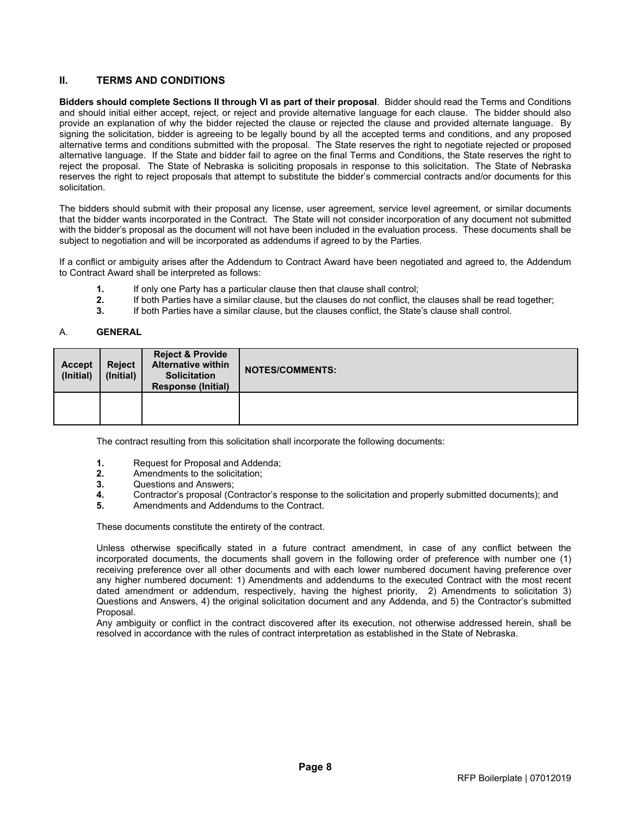# <span id="page-16-0"></span>**II. TERMS AND CONDITIONS**

**Bidders should complete Sections II through VI as part of their proposal**. Bidder should read the Terms and Conditions and should initial either accept, reject, or reject and provide alternative language for each clause. The bidder should also provide an explanation of why the bidder rejected the clause or rejected the clause and provided alternate language. By signing the solicitation, bidder is agreeing to be legally bound by all the accepted terms and conditions, and any proposed alternative terms and conditions submitted with the proposal. The State reserves the right to negotiate rejected or proposed alternative language. If the State and bidder fail to agree on the final Terms and Conditions, the State reserves the right to reject the proposal. The State of Nebraska is soliciting proposals in response to this solicitation. The State of Nebraska reserves the right to reject proposals that attempt to substitute the bidder's commercial contracts and/or documents for this solicitation.

The bidders should submit with their proposal any license, user agreement, service level agreement, or similar documents that the bidder wants incorporated in the Contract. The State will not consider incorporation of any document not submitted with the bidder's proposal as the document will not have been included in the evaluation process. These documents shall be subject to negotiation and will be incorporated as addendums if agreed to by the Parties.

If a conflict or ambiguity arises after the Addendum to Contract Award have been negotiated and agreed to, the Addendum to Contract Award shall be interpreted as follows:

- **1.** If only one Party has a particular clause then that clause shall control;<br>**2.** If both Parties have a similar clause, but the clauses do not conflict, the
- **2.** If both Parties have a similar clause, but the clauses do not conflict, the clauses shall be read together;<br>**3.** If both Parties have a similar clause, but the clauses conflict, the State's clause shall control.
- **3.** If both Parties have a similar clause, but the clauses conflict, the State's clause shall control.

# <span id="page-16-1"></span>A. **GENERAL**

| <b>Accept</b><br>(Initial) | <b>Reject</b><br>(Initial) | <b>Reject &amp; Provide</b><br><b>Alternative within</b><br><b>Solicitation</b><br><b>Response (Initial)</b> | <b>NOTES/COMMENTS:</b> |
|----------------------------|----------------------------|--------------------------------------------------------------------------------------------------------------|------------------------|
|                            |                            |                                                                                                              |                        |

The contract resulting from this solicitation shall incorporate the following documents:

- **1.** Request for Proposal and Addenda;
- **2.** Amendments to the solicitation;<br>**3.** Questions and Answers:
- **3.** Questions and Answers;<br>**4.** Contractor's proposal (C)
- **4.** Contractor's proposal (Contractor's response to the solicitation and properly submitted documents); and
- **5.** Amendments and Addendums to the Contract.

These documents constitute the entirety of the contract.

Unless otherwise specifically stated in a future contract amendment, in case of any conflict between the incorporated documents, the documents shall govern in the following order of preference with number one (1) receiving preference over all other documents and with each lower numbered document having preference over any higher numbered document: 1) Amendments and addendums to the executed Contract with the most recent dated amendment or addendum, respectively, having the highest priority, 2) Amendments to solicitation 3) Questions and Answers, 4) the original solicitation document and any Addenda, and 5) the Contractor's submitted Proposal.

Any ambiguity or conflict in the contract discovered after its execution, not otherwise addressed herein, shall be resolved in accordance with the rules of contract interpretation as established in the State of Nebraska.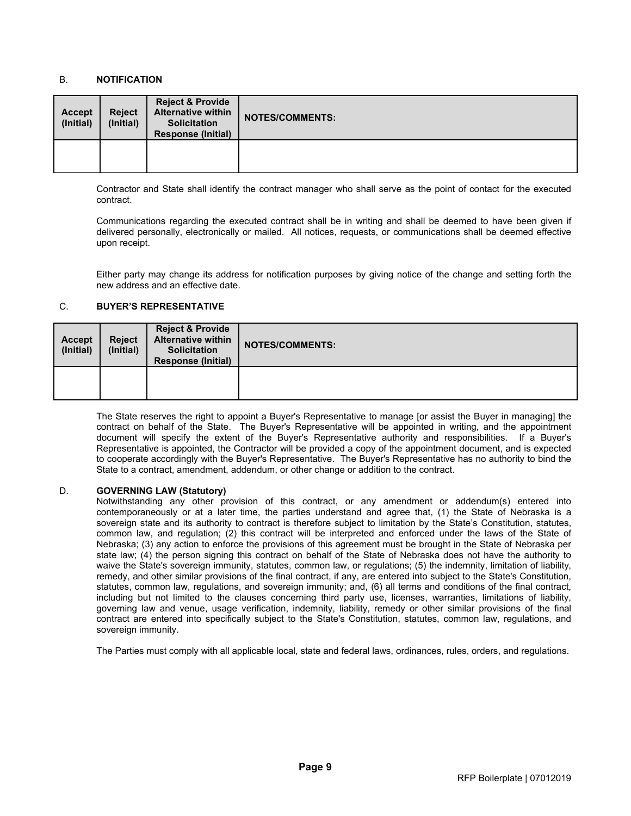## <span id="page-17-0"></span>B. **NOTIFICATION**

| <b>Accept</b><br>(Initial) | <b>Reject</b><br>(Initial) | <b>Reject &amp; Provide</b><br><b>Alternative within</b><br><b>Solicitation</b><br><b>Response (Initial)</b> | <b>NOTES/COMMENTS:</b> |
|----------------------------|----------------------------|--------------------------------------------------------------------------------------------------------------|------------------------|
|                            |                            |                                                                                                              |                        |

Contractor and State shall identify the contract manager who shall serve as the point of contact for the executed contract.

Communications regarding the executed contract shall be in writing and shall be deemed to have been given if delivered personally, electronically or mailed. All notices, requests, or communications shall be deemed effective upon receipt.

Either party may change its address for notification purposes by giving notice of the change and setting forth the new address and an effective date.

## <span id="page-17-1"></span>C. **BUYER'S REPRESENTATIVE**

| <b>Accept</b><br>(Initial) | <b>Reject</b><br>(Initial) | <b>Reject &amp; Provide</b><br><b>Alternative within</b><br><b>Solicitation</b><br><b>Response (Initial)</b> | <b>NOTES/COMMENTS:</b> |
|----------------------------|----------------------------|--------------------------------------------------------------------------------------------------------------|------------------------|
|                            |                            |                                                                                                              |                        |

The State reserves the right to appoint a Buyer's Representative to manage [or assist the Buyer in managing] the contract on behalf of the State. The Buyer's Representative will be appointed in writing, and the appointment document will specify the extent of the Buyer's Representative authority and responsibilities. If a Buyer's Representative is appointed, the Contractor will be provided a copy of the appointment document, and is expected to cooperate accordingly with the Buyer's Representative. The Buyer's Representative has no authority to bind the State to a contract, amendment, addendum, or other change or addition to the contract.

### <span id="page-17-2"></span>D. **GOVERNING LAW (Statutory)**

Notwithstanding any other provision of this contract, or any amendment or addendum(s) entered into contemporaneously or at a later time, the parties understand and agree that, (1) the State of Nebraska is a sovereign state and its authority to contract is therefore subject to limitation by the State's Constitution, statutes, common law, and regulation; (2) this contract will be interpreted and enforced under the laws of the State of Nebraska; (3) any action to enforce the provisions of this agreement must be brought in the State of Nebraska per state law; (4) the person signing this contract on behalf of the State of Nebraska does not have the authority to waive the State's sovereign immunity, statutes, common law, or regulations; (5) the indemnity, limitation of liability, remedy, and other similar provisions of the final contract, if any, are entered into subject to the State's Constitution, statutes, common law, regulations, and sovereign immunity; and, (6) all terms and conditions of the final contract, including but not limited to the clauses concerning third party use, licenses, warranties, limitations of liability, governing law and venue, usage verification, indemnity, liability, remedy or other similar provisions of the final contract are entered into specifically subject to the State's Constitution, statutes, common law, regulations, and sovereign immunity.

The Parties must comply with all applicable local, state and federal laws, ordinances, rules, orders, and regulations.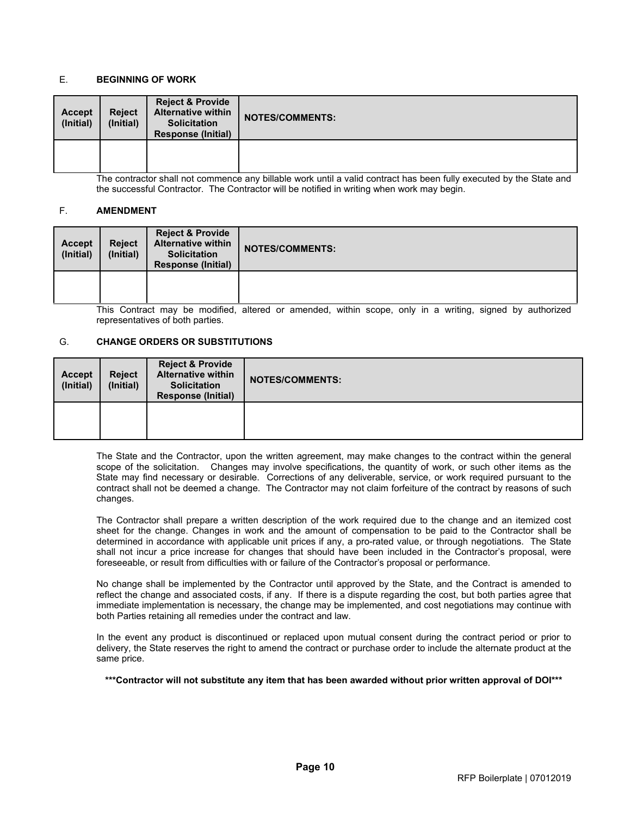### <span id="page-18-0"></span>E. **BEGINNING OF WORK**

| <b>Accept</b><br>(Initial) | <b>Reject</b><br>(Initial) | <b>Reject &amp; Provide</b><br><b>Alternative within</b><br><b>Solicitation</b><br><b>Response (Initial)</b> | <b>NOTES/COMMENTS:</b> |
|----------------------------|----------------------------|--------------------------------------------------------------------------------------------------------------|------------------------|
|                            |                            |                                                                                                              |                        |

The contractor shall not commence any billable work until a valid contract has been fully executed by the State and the successful Contractor. The Contractor will be notified in writing when work may begin.

### <span id="page-18-1"></span>F. **AMENDMENT**

| <b>Accept</b><br>(Initial) | <b>Reject</b><br>(Initial) | <b>Reject &amp; Provide</b><br><b>Alternative within</b><br><b>Solicitation</b><br><b>Response (Initial)</b> | <b>NOTES/COMMENTS:</b>                                                |
|----------------------------|----------------------------|--------------------------------------------------------------------------------------------------------------|-----------------------------------------------------------------------|
|                            |                            |                                                                                                              |                                                                       |
|                            |                            | This Contract move he modified                                                                               | between an amonded within again and in a writing almond by authorized |

This Contract may be modified, altered or amended, within scope, only in a writing, signed by authorized representatives of both parties.

### <span id="page-18-2"></span>G. **CHANGE ORDERS OR SUBSTITUTIONS**

| <b>Accept</b><br>(Initial) | <b>Reject</b><br>(Initial) | <b>Reject &amp; Provide</b><br><b>Alternative within</b><br><b>Solicitation</b><br><b>Response (Initial)</b> | <b>NOTES/COMMENTS:</b> |
|----------------------------|----------------------------|--------------------------------------------------------------------------------------------------------------|------------------------|
|                            |                            |                                                                                                              |                        |

The State and the Contractor, upon the written agreement, may make changes to the contract within the general scope of the solicitation. Changes may involve specifications, the quantity of work, or such other items as the State may find necessary or desirable. Corrections of any deliverable, service, or work required pursuant to the contract shall not be deemed a change. The Contractor may not claim forfeiture of the contract by reasons of such changes.

The Contractor shall prepare a written description of the work required due to the change and an itemized cost sheet for the change. Changes in work and the amount of compensation to be paid to the Contractor shall be determined in accordance with applicable unit prices if any, a pro-rated value, or through negotiations. The State shall not incur a price increase for changes that should have been included in the Contractor's proposal, were foreseeable, or result from difficulties with or failure of the Contractor's proposal or performance.

No change shall be implemented by the Contractor until approved by the State, and the Contract is amended to reflect the change and associated costs, if any. If there is a dispute regarding the cost, but both parties agree that immediate implementation is necessary, the change may be implemented, and cost negotiations may continue with both Parties retaining all remedies under the contract and law.

In the event any product is discontinued or replaced upon mutual consent during the contract period or prior to delivery, the State reserves the right to amend the contract or purchase order to include the alternate product at the same price.

**\*\*\*Contractor will not substitute any item that has been awarded without prior written approval of DOI\*\*\***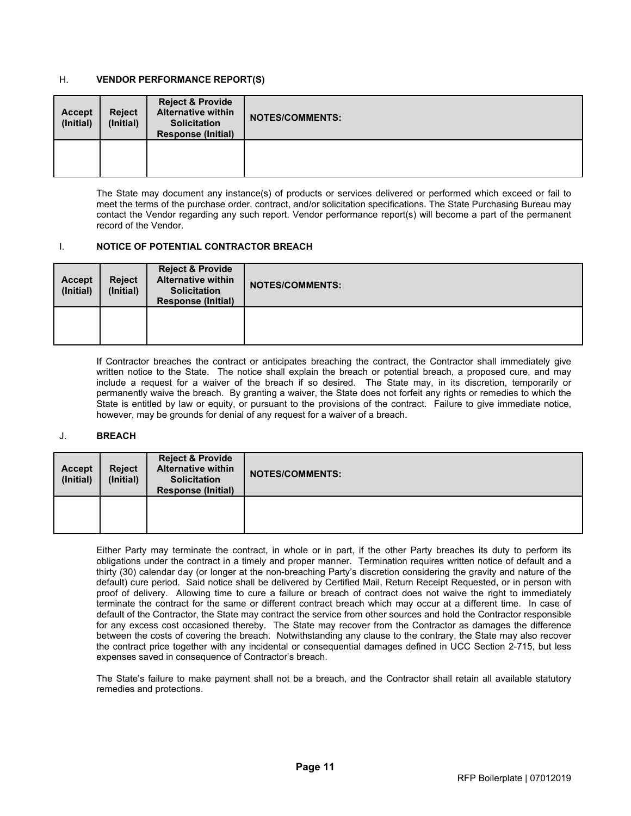# <span id="page-19-0"></span>H. **VENDOR PERFORMANCE REPORT(S)**

| <b>Accept</b><br>(Initial) | <b>Reject</b><br>(Initial) | <b>Reject &amp; Provide</b><br><b>Alternative within</b><br><b>Solicitation</b><br><b>Response (Initial)</b> | <b>NOTES/COMMENTS:</b> |
|----------------------------|----------------------------|--------------------------------------------------------------------------------------------------------------|------------------------|
|                            |                            |                                                                                                              |                        |

The State may document any instance(s) of products or services delivered or performed which exceed or fail to meet the terms of the purchase order, contract, and/or solicitation specifications. The State Purchasing Bureau may contact the Vendor regarding any such report. Vendor performance report(s) will become a part of the permanent record of the Vendor.

### <span id="page-19-1"></span>I. **NOTICE OF POTENTIAL CONTRACTOR BREACH**

| <b>Accept</b><br>(Initial) | <b>Reject</b><br>(Initial) | <b>Reject &amp; Provide</b><br><b>Alternative within</b><br><b>Solicitation</b><br><b>Response (Initial)</b> | <b>NOTES/COMMENTS:</b> |
|----------------------------|----------------------------|--------------------------------------------------------------------------------------------------------------|------------------------|
|                            |                            |                                                                                                              |                        |

If Contractor breaches the contract or anticipates breaching the contract, the Contractor shall immediately give written notice to the State. The notice shall explain the breach or potential breach, a proposed cure, and may include a request for a waiver of the breach if so desired. The State may, in its discretion, temporarily or permanently waive the breach. By granting a waiver, the State does not forfeit any rights or remedies to which the State is entitled by law or equity, or pursuant to the provisions of the contract. Failure to give immediate notice, however, may be grounds for denial of any request for a waiver of a breach.

### <span id="page-19-2"></span>J. **BREACH**

| <b>Accept</b><br>(Initial) | <b>Reject</b><br>(Initial) | <b>Reject &amp; Provide</b><br><b>Alternative within</b><br><b>Solicitation</b><br><b>Response (Initial)</b> | <b>NOTES/COMMENTS:</b> |
|----------------------------|----------------------------|--------------------------------------------------------------------------------------------------------------|------------------------|
|                            |                            |                                                                                                              |                        |

Either Party may terminate the contract, in whole or in part, if the other Party breaches its duty to perform its obligations under the contract in a timely and proper manner. Termination requires written notice of default and a thirty (30) calendar day (or longer at the non-breaching Party's discretion considering the gravity and nature of the default) cure period. Said notice shall be delivered by Certified Mail, Return Receipt Requested, or in person with proof of delivery. Allowing time to cure a failure or breach of contract does not waive the right to immediately terminate the contract for the same or different contract breach which may occur at a different time. In case of default of the Contractor, the State may contract the service from other sources and hold the Contractor responsible for any excess cost occasioned thereby. The State may recover from the Contractor as damages the difference between the costs of covering the breach. Notwithstanding any clause to the contrary, the State may also recover the contract price together with any incidental or consequential damages defined in UCC Section 2-715, but less expenses saved in consequence of Contractor's breach.

The State's failure to make payment shall not be a breach, and the Contractor shall retain all available statutory remedies and protections.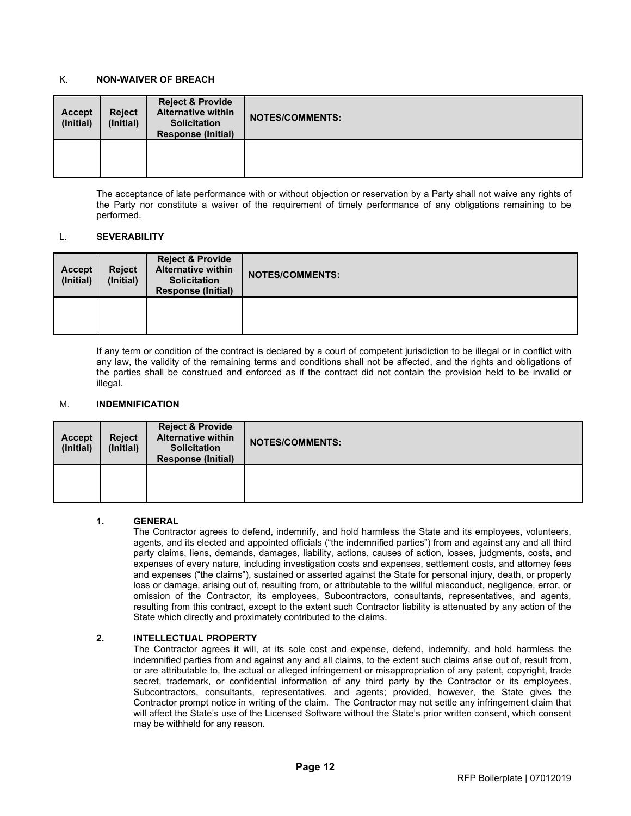## <span id="page-20-0"></span>K. **NON-WAIVER OF BREACH**

| <b>Accept</b><br>(Initial) | <b>Reject</b><br>(Initial) | <b>Reject &amp; Provide</b><br><b>Alternative within</b><br><b>Solicitation</b><br><b>Response (Initial)</b> | <b>NOTES/COMMENTS:</b> |
|----------------------------|----------------------------|--------------------------------------------------------------------------------------------------------------|------------------------|
|                            |                            |                                                                                                              |                        |

The acceptance of late performance with or without objection or reservation by a Party shall not waive any rights of the Party nor constitute a waiver of the requirement of timely performance of any obligations remaining to be performed.

### <span id="page-20-1"></span>L. **SEVERABILITY**

| Accept<br>(Initial) | <b>Reject</b><br>(Initial) | <b>Reject &amp; Provide</b><br><b>Alternative within</b><br><b>Solicitation</b><br><b>Response (Initial)</b> | <b>NOTES/COMMENTS:</b> |
|---------------------|----------------------------|--------------------------------------------------------------------------------------------------------------|------------------------|
|                     |                            |                                                                                                              |                        |

If any term or condition of the contract is declared by a court of competent jurisdiction to be illegal or in conflict with any law, the validity of the remaining terms and conditions shall not be affected, and the rights and obligations of the parties shall be construed and enforced as if the contract did not contain the provision held to be invalid or illegal.

### <span id="page-20-2"></span>M. **INDEMNIFICATION**

| <b>Accept</b><br>(Initial) | <b>Reject</b><br>(Initial) | <b>Reject &amp; Provide</b><br><b>Alternative within</b><br><b>Solicitation</b><br><b>Response (Initial)</b> | <b>NOTES/COMMENTS:</b> |
|----------------------------|----------------------------|--------------------------------------------------------------------------------------------------------------|------------------------|
|                            |                            |                                                                                                              |                        |

### **1. GENERAL**

The Contractor agrees to defend, indemnify, and hold harmless the State and its employees, volunteers, agents, and its elected and appointed officials ("the indemnified parties") from and against any and all third party claims, liens, demands, damages, liability, actions, causes of action, losses, judgments, costs, and expenses of every nature, including investigation costs and expenses, settlement costs, and attorney fees and expenses ("the claims"), sustained or asserted against the State for personal injury, death, or property loss or damage, arising out of, resulting from, or attributable to the willful misconduct, negligence, error, or omission of the Contractor, its employees, Subcontractors, consultants, representatives, and agents, resulting from this contract, except to the extent such Contractor liability is attenuated by any action of the State which directly and proximately contributed to the claims.

### **2. INTELLECTUAL PROPERTY**

The Contractor agrees it will, at its sole cost and expense, defend, indemnify, and hold harmless the indemnified parties from and against any and all claims, to the extent such claims arise out of, result from, or are attributable to, the actual or alleged infringement or misappropriation of any patent, copyright, trade secret, trademark, or confidential information of any third party by the Contractor or its employees, Subcontractors, consultants, representatives, and agents; provided, however, the State gives the Contractor prompt notice in writing of the claim. The Contractor may not settle any infringement claim that will affect the State's use of the Licensed Software without the State's prior written consent, which consent may be withheld for any reason.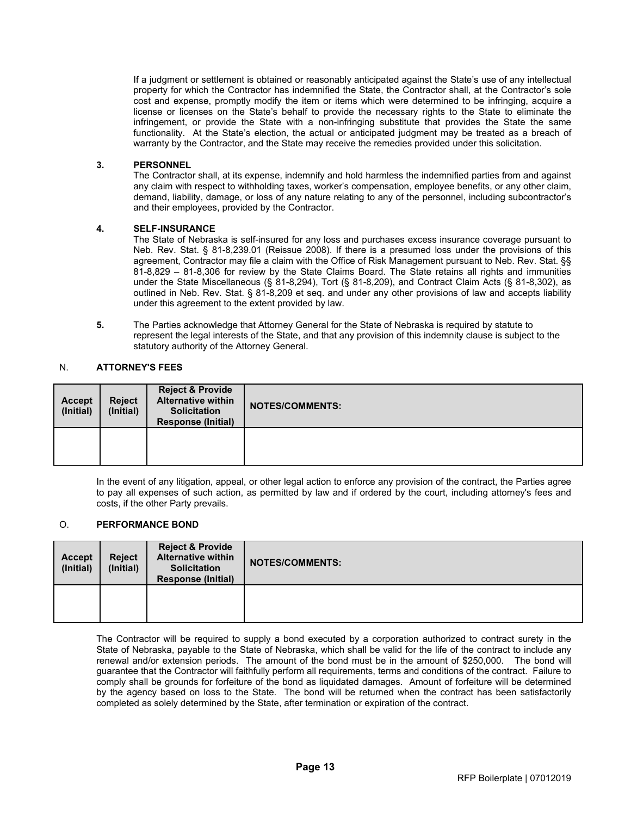If a judgment or settlement is obtained or reasonably anticipated against the State's use of any intellectual property for which the Contractor has indemnified the State, the Contractor shall, at the Contractor's sole cost and expense, promptly modify the item or items which were determined to be infringing, acquire a license or licenses on the State's behalf to provide the necessary rights to the State to eliminate the infringement, or provide the State with a non-infringing substitute that provides the State the same functionality. At the State's election, the actual or anticipated judgment may be treated as a breach of warranty by the Contractor, and the State may receive the remedies provided under this solicitation.

### **3. PERSONNEL**

The Contractor shall, at its expense, indemnify and hold harmless the indemnified parties from and against any claim with respect to withholding taxes, worker's compensation, employee benefits, or any other claim, demand, liability, damage, or loss of any nature relating to any of the personnel, including subcontractor's and their employees, provided by the Contractor.

### **4. SELF-INSURANCE**

The State of Nebraska is self-insured for any loss and purchases excess insurance coverage pursuant to Neb. Rev. Stat. § 81-8,239.01 (Reissue 2008). If there is a presumed loss under the provisions of this agreement, Contractor may file a claim with the Office of Risk Management pursuant to Neb. Rev. Stat. §§ 81-8,829 – 81-8,306 for review by the State Claims Board. The State retains all rights and immunities under the State Miscellaneous (§ 81-8,294), Tort (§ 81-8,209), and Contract Claim Acts (§ 81-8,302), as outlined in Neb. Rev. Stat. § 81-8,209 et seq. and under any other provisions of law and accepts liability under this agreement to the extent provided by law.

**5.** The Parties acknowledge that Attorney General for the State of Nebraska is required by statute to represent the legal interests of the State, and that any provision of this indemnity clause is subject to the statutory authority of the Attorney General.

### <span id="page-21-0"></span>N. **ATTORNEY'S FEES**

| <b>Accept</b><br>(Initial) | <b>Reject</b><br>(Initial) | <b>Reject &amp; Provide</b><br><b>Alternative within</b><br><b>Solicitation</b><br><b>Response (Initial)</b> | <b>NOTES/COMMENTS:</b> |
|----------------------------|----------------------------|--------------------------------------------------------------------------------------------------------------|------------------------|
|                            |                            |                                                                                                              |                        |

In the event of any litigation, appeal, or other legal action to enforce any provision of the contract, the Parties agree to pay all expenses of such action, as permitted by law and if ordered by the court, including attorney's fees and costs, if the other Party prevails.

### <span id="page-21-1"></span>O. **PERFORMANCE BOND**

| <b>Accept</b><br>(Initial) | <b>Reject</b><br>(Initial) | <b>Reject &amp; Provide</b><br><b>Alternative within</b><br><b>Solicitation</b><br><b>Response (Initial)</b> | <b>NOTES/COMMENTS:</b> |
|----------------------------|----------------------------|--------------------------------------------------------------------------------------------------------------|------------------------|
|                            |                            |                                                                                                              |                        |

The Contractor will be required to supply a bond executed by a corporation authorized to contract surety in the State of Nebraska, payable to the State of Nebraska, which shall be valid for the life of the contract to include any renewal and/or extension periods. The amount of the bond must be in the amount of \$250,000. The bond will guarantee that the Contractor will faithfully perform all requirements, terms and conditions of the contract. Failure to comply shall be grounds for forfeiture of the bond as liquidated damages. Amount of forfeiture will be determined by the agency based on loss to the State. The bond will be returned when the contract has been satisfactorily completed as solely determined by the State, after termination or expiration of the contract.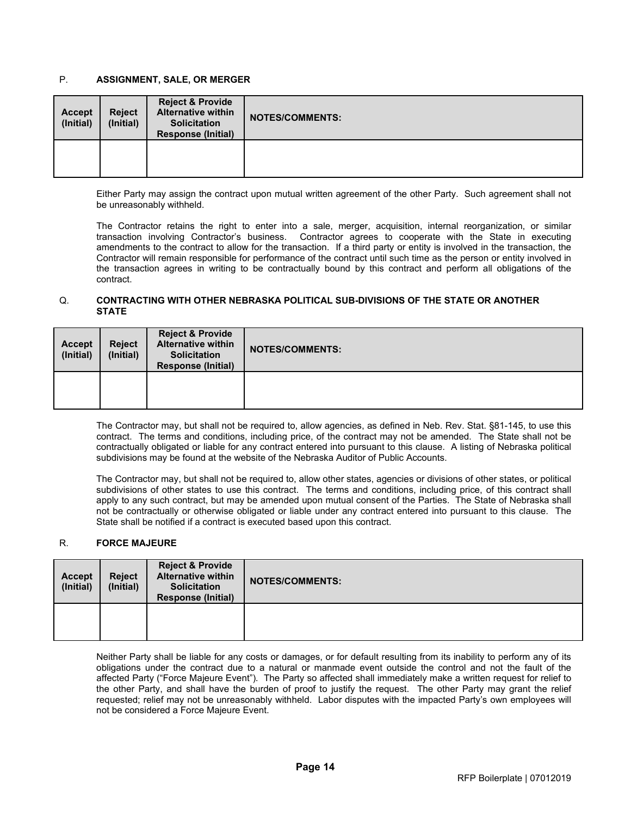## <span id="page-22-0"></span>P. **ASSIGNMENT, SALE, OR MERGER**

| <b>Accept</b><br>(Initial) | <b>Reject</b><br>(Initial) | <b>Reject &amp; Provide</b><br><b>Alternative within</b><br><b>Solicitation</b><br><b>Response (Initial)</b> | <b>NOTES/COMMENTS:</b> |
|----------------------------|----------------------------|--------------------------------------------------------------------------------------------------------------|------------------------|
|                            |                            |                                                                                                              |                        |

Either Party may assign the contract upon mutual written agreement of the other Party. Such agreement shall not be unreasonably withheld.

The Contractor retains the right to enter into a sale, merger, acquisition, internal reorganization, or similar transaction involving Contractor's business. Contractor agrees to cooperate with the State in executing amendments to the contract to allow for the transaction. If a third party or entity is involved in the transaction, the Contractor will remain responsible for performance of the contract until such time as the person or entity involved in the transaction agrees in writing to be contractually bound by this contract and perform all obligations of the contract.

### <span id="page-22-1"></span>Q. **CONTRACTING WITH OTHER NEBRASKA POLITICAL SUB-DIVISIONS OF THE STATE OR ANOTHER STATE**

| Accept<br>(Initial) | <b>Reject</b><br>(Initial) | <b>Reject &amp; Provide</b><br><b>Alternative within</b><br><b>Solicitation</b><br><b>Response (Initial)</b> | <b>NOTES/COMMENTS:</b> |
|---------------------|----------------------------|--------------------------------------------------------------------------------------------------------------|------------------------|
|                     |                            |                                                                                                              |                        |

The Contractor may, but shall not be required to, allow agencies, as defined in Neb. Rev. Stat. §81-145, to use this contract. The terms and conditions, including price, of the contract may not be amended. The State shall not be contractually obligated or liable for any contract entered into pursuant to this clause. A listing of Nebraska political subdivisions may be found at the website of the Nebraska Auditor of Public Accounts.

The Contractor may, but shall not be required to, allow other states, agencies or divisions of other states, or political subdivisions of other states to use this contract. The terms and conditions, including price, of this contract shall apply to any such contract, but may be amended upon mutual consent of the Parties. The State of Nebraska shall not be contractually or otherwise obligated or liable under any contract entered into pursuant to this clause. The State shall be notified if a contract is executed based upon this contract.

### <span id="page-22-2"></span>R. **FORCE MAJEURE**

| Accept<br>(Initial) | <b>Reject</b><br>(Initial) | Reject & Provide<br><b>Alternative within</b><br><b>Solicitation</b><br><b>Response (Initial)</b> | <b>NOTES/COMMENTS:</b> |
|---------------------|----------------------------|---------------------------------------------------------------------------------------------------|------------------------|
|                     |                            |                                                                                                   |                        |

Neither Party shall be liable for any costs or damages, or for default resulting from its inability to perform any of its obligations under the contract due to a natural or manmade event outside the control and not the fault of the affected Party ("Force Majeure Event"). The Party so affected shall immediately make a written request for relief to the other Party, and shall have the burden of proof to justify the request. The other Party may grant the relief requested; relief may not be unreasonably withheld. Labor disputes with the impacted Party's own employees will not be considered a Force Majeure Event.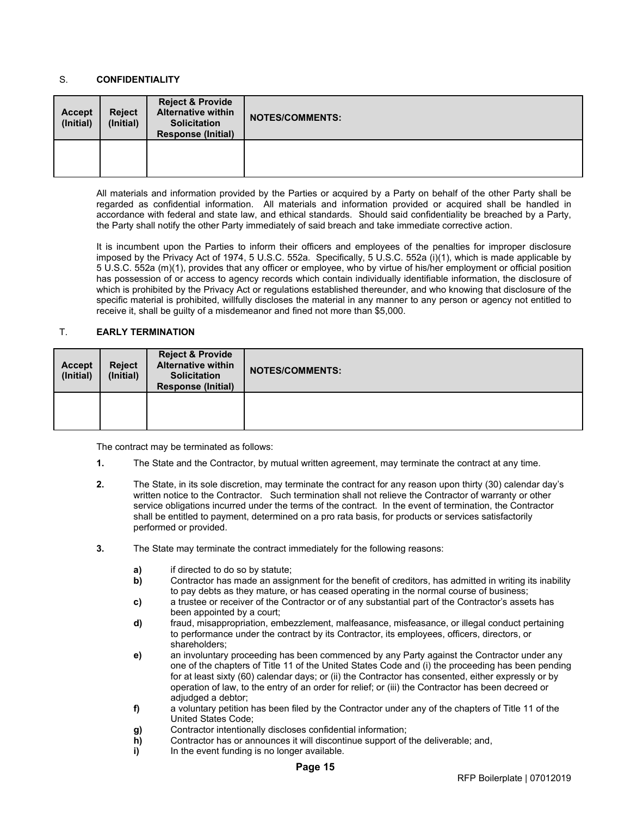## <span id="page-23-0"></span>S. **CONFIDENTIALITY**

| <b>Accept</b><br>(Initial) | <b>Reject</b><br>(Initial) | <b>Reject &amp; Provide</b><br><b>Alternative within</b><br><b>Solicitation</b><br><b>Response (Initial)</b> | <b>NOTES/COMMENTS:</b> |
|----------------------------|----------------------------|--------------------------------------------------------------------------------------------------------------|------------------------|
|                            |                            |                                                                                                              |                        |

All materials and information provided by the Parties or acquired by a Party on behalf of the other Party shall be regarded as confidential information. All materials and information provided or acquired shall be handled in accordance with federal and state law, and ethical standards. Should said confidentiality be breached by a Party, the Party shall notify the other Party immediately of said breach and take immediate corrective action.

It is incumbent upon the Parties to inform their officers and employees of the penalties for improper disclosure imposed by the Privacy Act of 1974, 5 U.S.C. 552a. Specifically, 5 U.S.C. 552a (i)(1), which is made applicable by 5 U.S.C. 552a (m)(1), provides that any officer or employee, who by virtue of his/her employment or official position has possession of or access to agency records which contain individually identifiable information, the disclosure of which is prohibited by the Privacy Act or regulations established thereunder, and who knowing that disclosure of the specific material is prohibited, willfully discloses the material in any manner to any person or agency not entitled to receive it, shall be guilty of a misdemeanor and fined not more than \$5,000.

### <span id="page-23-1"></span>T. **EARLY TERMINATION**

| <b>Accept</b><br>(Initial) | <b>Reject</b><br>(Initial) | <b>Reject &amp; Provide</b><br><b>Alternative within</b><br><b>Solicitation</b><br><b>Response (Initial)</b> | <b>NOTES/COMMENTS:</b> |
|----------------------------|----------------------------|--------------------------------------------------------------------------------------------------------------|------------------------|
|                            |                            |                                                                                                              |                        |

The contract may be terminated as follows:

- **1.** The State and the Contractor, by mutual written agreement, may terminate the contract at any time.
- **2.** The State, in its sole discretion, may terminate the contract for any reason upon thirty (30) calendar day's written notice to the Contractor. Such termination shall not relieve the Contractor of warranty or other service obligations incurred under the terms of the contract. In the event of termination, the Contractor shall be entitled to payment, determined on a pro rata basis, for products or services satisfactorily performed or provided.
- **3.** The State may terminate the contract immediately for the following reasons:
	- **a)** if directed to do so by statute;<br>**b**) Contractor has made an assig
	- **b)** Contractor has made an assignment for the benefit of creditors, has admitted in writing its inability to pay debts as they mature, or has ceased operating in the normal course of business;
	- **c)** a trustee or receiver of the Contractor or of any substantial part of the Contractor's assets has been appointed by a court;
	- **d)** fraud, misappropriation, embezzlement, malfeasance, misfeasance, or illegal conduct pertaining to performance under the contract by its Contractor, its employees, officers, directors, or shareholders;
	- **e)** an involuntary proceeding has been commenced by any Party against the Contractor under any one of the chapters of Title 11 of the United States Code and (i) the proceeding has been pending for at least sixty (60) calendar days; or (ii) the Contractor has consented, either expressly or by operation of law, to the entry of an order for relief; or (iii) the Contractor has been decreed or adjudged a debtor;
	- **f)** a voluntary petition has been filed by the Contractor under any of the chapters of Title 11 of the United States Code;
	- **g)** Contractor intentionally discloses confidential information;<br> **h**) Contractor has or announces it will discontinue support of
	- **h)** Contractor has or announces it will discontinue support of the deliverable; and, i) In the event funding is no longer available.
	- **i)** In the event funding is no longer available.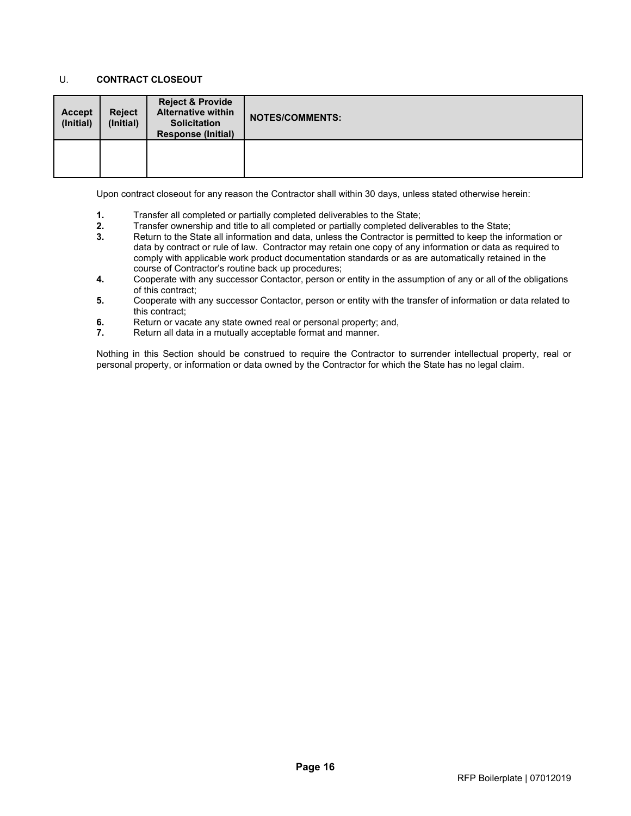# <span id="page-24-0"></span>U. **CONTRACT CLOSEOUT**

| <b>Accept</b><br>(Initial) | <b>Reject</b><br>(Initial) | Reject & Provide<br><b>Alternative within</b><br><b>Solicitation</b><br><b>Response (Initial)</b> | <b>NOTES/COMMENTS:</b> |
|----------------------------|----------------------------|---------------------------------------------------------------------------------------------------|------------------------|
|                            |                            |                                                                                                   |                        |

Upon contract closeout for any reason the Contractor shall within 30 days, unless stated otherwise herein:

- **1.** Transfer all completed or partially completed deliverables to the State;<br>**2.** Transfer ownership and title to all completed or partially completed deli
- **2.** Transfer ownership and title to all completed or partially completed deliverables to the State;
- **3.** Return to the State all information and data, unless the Contractor is permitted to keep the information or data by contract or rule of law. Contractor may retain one copy of any information or data as required to comply with applicable work product documentation standards or as are automatically retained in the course of Contractor's routine back up procedures;
- **4.** Cooperate with any successor Contactor, person or entity in the assumption of any or all of the obligations of this contract;
- **5.** Cooperate with any successor Contactor, person or entity with the transfer of information or data related to this contract;
- **6.** Return or vacate any state owned real or personal property; and, **7.** Return all data in a mutually acceptable format and manner.
- **7.** Return all data in a mutually acceptable format and manner.

Nothing in this Section should be construed to require the Contractor to surrender intellectual property, real or personal property, or information or data owned by the Contractor for which the State has no legal claim.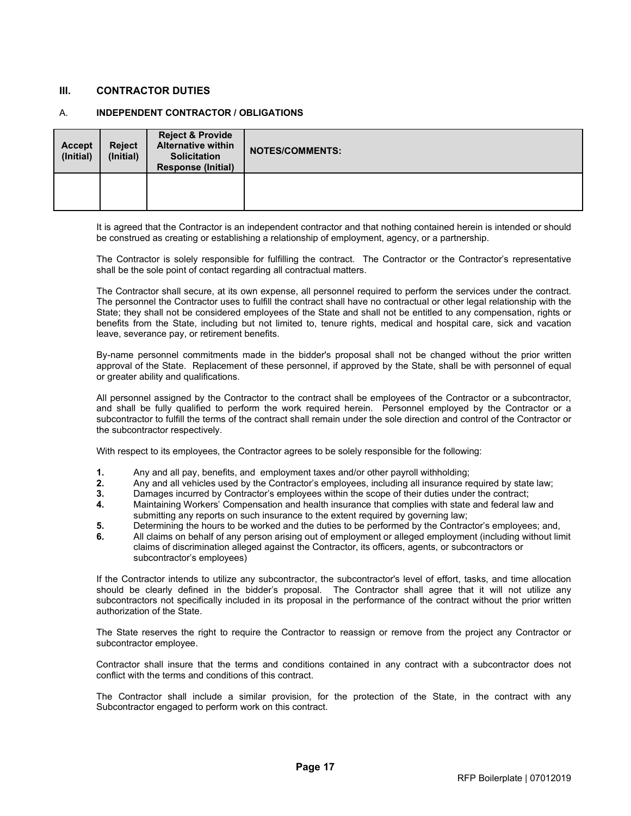## <span id="page-25-0"></span>**III. CONTRACTOR DUTIES**

### <span id="page-25-1"></span>A. **INDEPENDENT CONTRACTOR / OBLIGATIONS**

| <b>Accept</b><br>(Initial) | <b>Reject</b><br>(Initial) | <b>Reject &amp; Provide</b><br><b>Alternative within</b><br><b>Solicitation</b><br><b>Response (Initial)</b> | <b>NOTES/COMMENTS:</b> |
|----------------------------|----------------------------|--------------------------------------------------------------------------------------------------------------|------------------------|
|                            |                            |                                                                                                              |                        |

It is agreed that the Contractor is an independent contractor and that nothing contained herein is intended or should be construed as creating or establishing a relationship of employment, agency, or a partnership.

The Contractor is solely responsible for fulfilling the contract. The Contractor or the Contractor's representative shall be the sole point of contact regarding all contractual matters.

The Contractor shall secure, at its own expense, all personnel required to perform the services under the contract. The personnel the Contractor uses to fulfill the contract shall have no contractual or other legal relationship with the State; they shall not be considered employees of the State and shall not be entitled to any compensation, rights or benefits from the State, including but not limited to, tenure rights, medical and hospital care, sick and vacation leave, severance pay, or retirement benefits.

By-name personnel commitments made in the bidder's proposal shall not be changed without the prior written approval of the State. Replacement of these personnel, if approved by the State, shall be with personnel of equal or greater ability and qualifications.

All personnel assigned by the Contractor to the contract shall be employees of the Contractor or a subcontractor, and shall be fully qualified to perform the work required herein. Personnel employed by the Contractor or a subcontractor to fulfill the terms of the contract shall remain under the sole direction and control of the Contractor or the subcontractor respectively.

With respect to its employees, the Contractor agrees to be solely responsible for the following:

- **1.** Any and all pay, benefits, and employment taxes and/or other payroll withholding;
- **2.** Any and all vehicles used by the Contractor's employees, including all insurance required by state law;<br>**3.** Damages incurred by Contractor's employees within the scope of their duties under the contract:
- **3.** Damages incurred by Contractor's employees within the scope of their duties under the contract;
- **4.** Maintaining Workers' Compensation and health insurance that complies with state and federal law and submitting any reports on such insurance to the extent required by governing law;
- **5.** Determining the hours to be worked and the duties to be performed by the Contractor's employees; and,
- **6.** All claims on behalf of any person arising out of employment or alleged employment (including without limit claims of discrimination alleged against the Contractor, its officers, agents, or subcontractors or subcontractor's employees)

If the Contractor intends to utilize any subcontractor, the subcontractor's level of effort, tasks, and time allocation should be clearly defined in the bidder's proposal. The Contractor shall agree that it will not utilize any subcontractors not specifically included in its proposal in the performance of the contract without the prior written authorization of the State.

The State reserves the right to require the Contractor to reassign or remove from the project any Contractor or subcontractor employee.

Contractor shall insure that the terms and conditions contained in any contract with a subcontractor does not conflict with the terms and conditions of this contract.

The Contractor shall include a similar provision, for the protection of the State, in the contract with any Subcontractor engaged to perform work on this contract.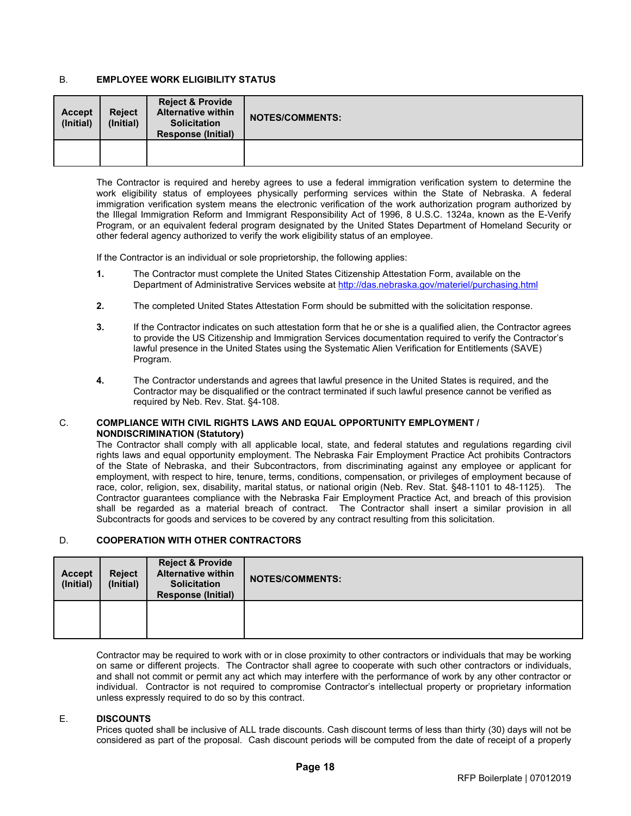# <span id="page-26-0"></span>B. **EMPLOYEE WORK ELIGIBILITY STATUS**

| <b>Accept</b><br>(Initial) | <b>Reject</b><br>(Initial) | <b>Reject &amp; Provide</b><br><b>Alternative within</b><br><b>Solicitation</b><br><b>Response (Initial)</b> | <b>NOTES/COMMENTS:</b> |
|----------------------------|----------------------------|--------------------------------------------------------------------------------------------------------------|------------------------|
|                            |                            |                                                                                                              |                        |

The Contractor is required and hereby agrees to use a federal immigration verification system to determine the work eligibility status of employees physically performing services within the State of Nebraska. A federal immigration verification system means the electronic verification of the work authorization program authorized by the Illegal Immigration Reform and Immigrant Responsibility Act of 1996, 8 U.S.C. 1324a, known as the E-Verify Program, or an equivalent federal program designated by the United States Department of Homeland Security or other federal agency authorized to verify the work eligibility status of an employee.

If the Contractor is an individual or sole proprietorship, the following applies:

- **1.** The Contractor must complete the United States Citizenship Attestation Form, available on the Department of Administrative Services website at http://das.nebraska.gov/materiel/purchasing.html
- **2.** The completed United States Attestation Form should be submitted with the solicitation response.
- **3.** If the Contractor indicates on such attestation form that he or she is a qualified alien, the Contractor agrees to provide the US Citizenship and Immigration Services documentation required to verify the Contractor's lawful presence in the United States using the Systematic Alien Verification for Entitlements (SAVE) Program.
- **4.** The Contractor understands and agrees that lawful presence in the United States is required, and the Contractor may be disqualified or the contract terminated if such lawful presence cannot be verified as required by Neb. Rev. Stat. §4-108.

#### <span id="page-26-1"></span>C. **COMPLIANCE WITH CIVIL RIGHTS LAWS AND EQUAL OPPORTUNITY EMPLOYMENT / NONDISCRIMINATION (Statutory)**

The Contractor shall comply with all applicable local, state, and federal statutes and regulations regarding civil rights laws and equal opportunity employment. The Nebraska Fair Employment Practice Act prohibits Contractors of the State of Nebraska, and their Subcontractors, from discriminating against any employee or applicant for employment, with respect to hire, tenure, terms, conditions, compensation, or privileges of employment because of race, color, religion, sex, disability, marital status, or national origin (Neb. Rev. Stat. §48-1101 to 48-1125). The Contractor guarantees compliance with the Nebraska Fair Employment Practice Act, and breach of this provision shall be regarded as a material breach of contract. The Contractor shall insert a similar provision in all Subcontracts for goods and services to be covered by any contract resulting from this solicitation.

# <span id="page-26-2"></span>D. **COOPERATION WITH OTHER CONTRACTORS**

| <b>Accept</b><br>(Initial) | <b>Reject</b><br>(Initial) | <b>Reject &amp; Provide</b><br><b>Alternative within</b><br><b>Solicitation</b><br><b>Response (Initial)</b> | <b>NOTES/COMMENTS:</b> |
|----------------------------|----------------------------|--------------------------------------------------------------------------------------------------------------|------------------------|
|                            |                            |                                                                                                              |                        |

Contractor may be required to work with or in close proximity to other contractors or individuals that may be working on same or different projects. The Contractor shall agree to cooperate with such other contractors or individuals, and shall not commit or permit any act which may interfere with the performance of work by any other contractor or individual. Contractor is not required to compromise Contractor's intellectual property or proprietary information unless expressly required to do so by this contract.

### <span id="page-26-3"></span>E. **DISCOUNTS**

Prices quoted shall be inclusive of ALL trade discounts. Cash discount terms of less than thirty (30) days will not be considered as part of the proposal. Cash discount periods will be computed from the date of receipt of a properly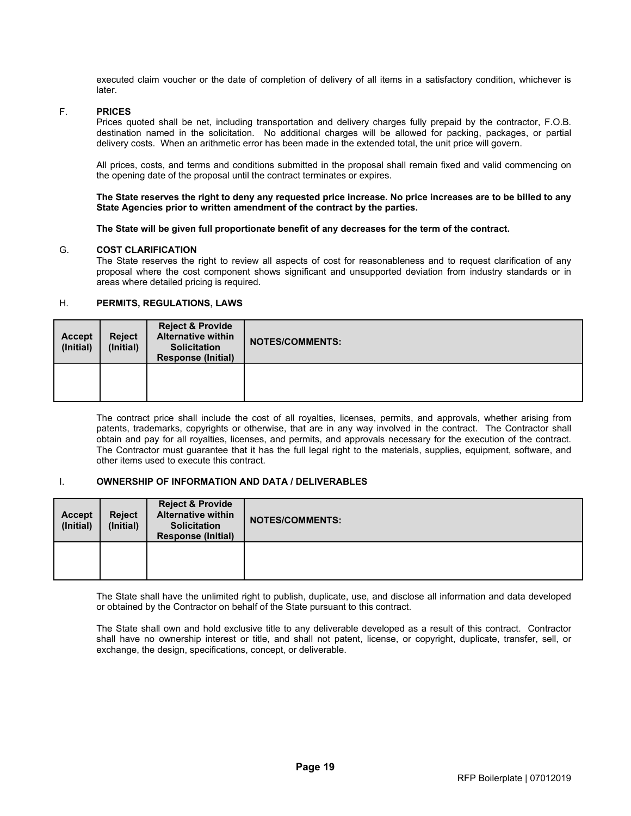executed claim voucher or the date of completion of delivery of all items in a satisfactory condition, whichever is later.

#### <span id="page-27-0"></span>F. **PRICES**

Prices quoted shall be net, including transportation and delivery charges fully prepaid by the contractor, F.O.B. destination named in the solicitation. No additional charges will be allowed for packing, packages, or partial delivery costs. When an arithmetic error has been made in the extended total, the unit price will govern.

All prices, costs, and terms and conditions submitted in the proposal shall remain fixed and valid commencing on the opening date of the proposal until the contract terminates or expires.

**The State reserves the right to deny any requested price increase. No price increases are to be billed to any State Agencies prior to written amendment of the contract by the parties.**

**The State will be given full proportionate benefit of any decreases for the term of the contract.**

### <span id="page-27-1"></span>G. **COST CLARIFICATION**

The State reserves the right to review all aspects of cost for reasonableness and to request clarification of any proposal where the cost component shows significant and unsupported deviation from industry standards or in areas where detailed pricing is required.

# <span id="page-27-2"></span>H. **PERMITS, REGULATIONS, LAWS**

| <b>Accept</b><br>(Initial) | <b>Reject</b><br>(Initial) | <b>Reject &amp; Provide</b><br><b>Alternative within</b><br><b>Solicitation</b><br><b>Response (Initial)</b> | <b>NOTES/COMMENTS:</b> |
|----------------------------|----------------------------|--------------------------------------------------------------------------------------------------------------|------------------------|
|                            |                            |                                                                                                              |                        |

The contract price shall include the cost of all royalties, licenses, permits, and approvals, whether arising from patents, trademarks, copyrights or otherwise, that are in any way involved in the contract. The Contractor shall obtain and pay for all royalties, licenses, and permits, and approvals necessary for the execution of the contract. The Contractor must guarantee that it has the full legal right to the materials, supplies, equipment, software, and other items used to execute this contract.

### <span id="page-27-3"></span>I. **OWNERSHIP OF INFORMATION AND DATA / DELIVERABLES**

| <b>Accept</b><br>(Initial) | <b>Reject</b><br>(Initial) | <b>Reject &amp; Provide</b><br><b>Alternative within</b><br><b>Solicitation</b><br><b>Response (Initial)</b> | <b>NOTES/COMMENTS:</b> |
|----------------------------|----------------------------|--------------------------------------------------------------------------------------------------------------|------------------------|
|                            |                            |                                                                                                              |                        |

The State shall have the unlimited right to publish, duplicate, use, and disclose all information and data developed or obtained by the Contractor on behalf of the State pursuant to this contract.

The State shall own and hold exclusive title to any deliverable developed as a result of this contract. Contractor shall have no ownership interest or title, and shall not patent, license, or copyright, duplicate, transfer, sell, or exchange, the design, specifications, concept, or deliverable.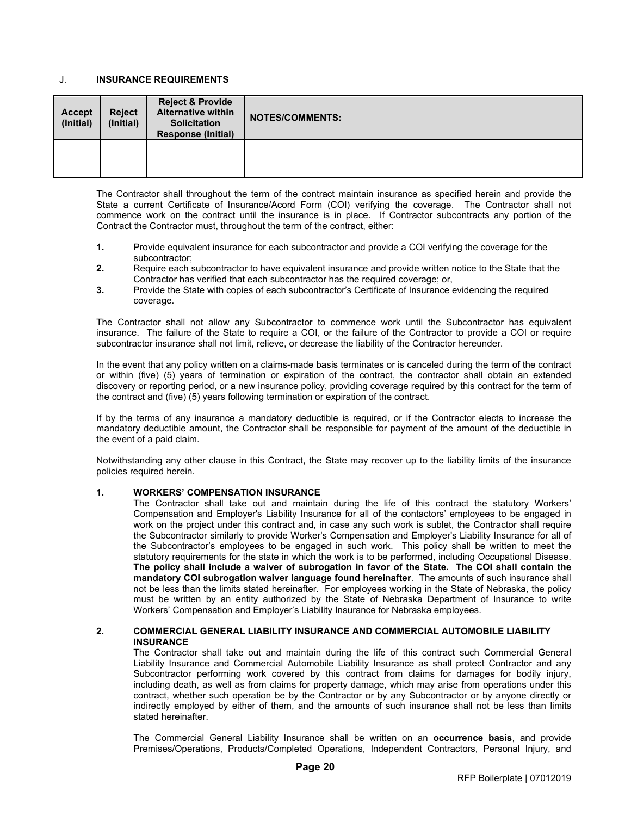### <span id="page-28-0"></span>J. **INSURANCE REQUIREMENTS**

| <b>Accept</b><br>(Initial) | <b>Reject</b><br>(Initial) | Reject & Provide<br><b>Alternative within</b><br><b>Solicitation</b><br><b>Response (Initial)</b> | <b>NOTES/COMMENTS:</b> |
|----------------------------|----------------------------|---------------------------------------------------------------------------------------------------|------------------------|
|                            |                            |                                                                                                   |                        |

The Contractor shall throughout the term of the contract maintain insurance as specified herein and provide the State a current Certificate of Insurance/Acord Form (COI) verifying the coverage. The Contractor shall not commence work on the contract until the insurance is in place. If Contractor subcontracts any portion of the Contract the Contractor must, throughout the term of the contract, either:

- **1.** Provide equivalent insurance for each subcontractor and provide a COI verifying the coverage for the subcontractor;
- **2.** Require each subcontractor to have equivalent insurance and provide written notice to the State that the Contractor has verified that each subcontractor has the required coverage; or,
- **3.** Provide the State with copies of each subcontractor's Certificate of Insurance evidencing the required coverage.

The Contractor shall not allow any Subcontractor to commence work until the Subcontractor has equivalent insurance. The failure of the State to require a COI, or the failure of the Contractor to provide a COI or require subcontractor insurance shall not limit, relieve, or decrease the liability of the Contractor hereunder.

In the event that any policy written on a claims-made basis terminates or is canceled during the term of the contract or within (five) (5) years of termination or expiration of the contract, the contractor shall obtain an extended discovery or reporting period, or a new insurance policy, providing coverage required by this contract for the term of the contract and (five) (5) years following termination or expiration of the contract.

If by the terms of any insurance a mandatory deductible is required, or if the Contractor elects to increase the mandatory deductible amount, the Contractor shall be responsible for payment of the amount of the deductible in the event of a paid claim.

Notwithstanding any other clause in this Contract, the State may recover up to the liability limits of the insurance policies required herein.

### **1. WORKERS' COMPENSATION INSURANCE**

The Contractor shall take out and maintain during the life of this contract the statutory Workers' Compensation and Employer's Liability Insurance for all of the contactors' employees to be engaged in work on the project under this contract and, in case any such work is sublet, the Contractor shall require the Subcontractor similarly to provide Worker's Compensation and Employer's Liability Insurance for all of the Subcontractor's employees to be engaged in such work. This policy shall be written to meet the statutory requirements for the state in which the work is to be performed, including Occupational Disease. **The policy shall include a waiver of subrogation in favor of the State. The COI shall contain the mandatory COI subrogation waiver language found hereinafter**. The amounts of such insurance shall not be less than the limits stated hereinafter. For employees working in the State of Nebraska, the policy must be written by an entity authorized by the State of Nebraska Department of Insurance to write Workers' Compensation and Employer's Liability Insurance for Nebraska employees.

### **2. COMMERCIAL GENERAL LIABILITY INSURANCE AND COMMERCIAL AUTOMOBILE LIABILITY INSURANCE**

The Contractor shall take out and maintain during the life of this contract such Commercial General Liability Insurance and Commercial Automobile Liability Insurance as shall protect Contractor and any Subcontractor performing work covered by this contract from claims for damages for bodily injury, including death, as well as from claims for property damage, which may arise from operations under this contract, whether such operation be by the Contractor or by any Subcontractor or by anyone directly or indirectly employed by either of them, and the amounts of such insurance shall not be less than limits stated hereinafter.

The Commercial General Liability Insurance shall be written on an **occurrence basis**, and provide Premises/Operations, Products/Completed Operations, Independent Contractors, Personal Injury, and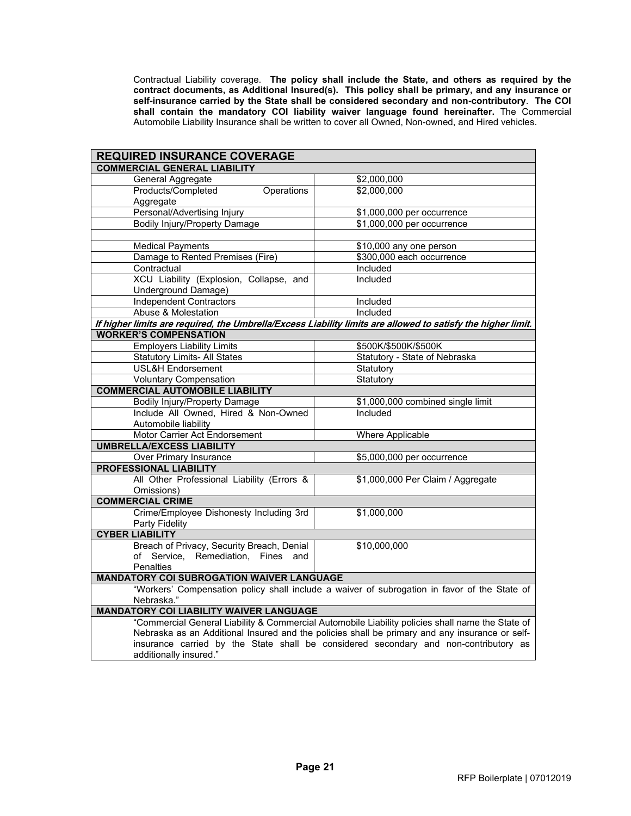Contractual Liability coverage. **The policy shall include the State, and others as required by the contract documents, as Additional Insured(s). This policy shall be primary, and any insurance or self-insurance carried by the State shall be considered secondary and non-contributory**. **The COI shall contain the mandatory COI liability waiver language found hereinafter.** The Commercial Automobile Liability Insurance shall be written to cover all Owned, Non-owned, and Hired vehicles.

| <b>REQUIRED INSURANCE COVERAGE</b>                                                                           |                                                                                                                                                                                                    |  |  |  |
|--------------------------------------------------------------------------------------------------------------|----------------------------------------------------------------------------------------------------------------------------------------------------------------------------------------------------|--|--|--|
| <b>COMMERCIAL GENERAL LIABILITY</b>                                                                          |                                                                                                                                                                                                    |  |  |  |
| General Aggregate                                                                                            | \$2,000,000                                                                                                                                                                                        |  |  |  |
| Products/Completed<br>Operations                                                                             | \$2,000,000                                                                                                                                                                                        |  |  |  |
| Aggregate                                                                                                    |                                                                                                                                                                                                    |  |  |  |
| Personal/Advertising Injury                                                                                  | \$1,000,000 per occurrence                                                                                                                                                                         |  |  |  |
| <b>Bodily Injury/Property Damage</b>                                                                         | \$1,000,000 per occurrence                                                                                                                                                                         |  |  |  |
|                                                                                                              |                                                                                                                                                                                                    |  |  |  |
| <b>Medical Payments</b>                                                                                      | \$10,000 any one person                                                                                                                                                                            |  |  |  |
| Damage to Rented Premises (Fire)                                                                             | \$300,000 each occurrence                                                                                                                                                                          |  |  |  |
| Contractual                                                                                                  | Included                                                                                                                                                                                           |  |  |  |
| XCU Liability (Explosion, Collapse, and                                                                      | Included                                                                                                                                                                                           |  |  |  |
| Underground Damage)                                                                                          |                                                                                                                                                                                                    |  |  |  |
| <b>Independent Contractors</b>                                                                               | Included                                                                                                                                                                                           |  |  |  |
| Abuse & Molestation                                                                                          | Included                                                                                                                                                                                           |  |  |  |
| If higher limits are required, the Umbrella/Excess Liability limits are allowed to satisfy the higher limit. |                                                                                                                                                                                                    |  |  |  |
| <b>WORKER'S COMPENSATION</b>                                                                                 |                                                                                                                                                                                                    |  |  |  |
| <b>Employers Liability Limits</b>                                                                            | \$500K/\$500K/\$500K                                                                                                                                                                               |  |  |  |
| <b>Statutory Limits- All States</b>                                                                          | Statutory - State of Nebraska                                                                                                                                                                      |  |  |  |
| USL&H Endorsement                                                                                            | Statutory                                                                                                                                                                                          |  |  |  |
| <b>Voluntary Compensation</b>                                                                                | Statutory                                                                                                                                                                                          |  |  |  |
| <b>COMMERCIAL AUTOMOBILE LIABILITY</b>                                                                       |                                                                                                                                                                                                    |  |  |  |
| <b>Bodily Injury/Property Damage</b>                                                                         | \$1,000,000 combined single limit                                                                                                                                                                  |  |  |  |
| Include All Owned, Hired & Non-Owned                                                                         | Included                                                                                                                                                                                           |  |  |  |
| Automobile liability                                                                                         |                                                                                                                                                                                                    |  |  |  |
| Motor Carrier Act Endorsement                                                                                | Where Applicable                                                                                                                                                                                   |  |  |  |
| <b>UMBRELLA/EXCESS LIABILITY</b>                                                                             |                                                                                                                                                                                                    |  |  |  |
| <b>Over Primary Insurance</b>                                                                                | \$5,000,000 per occurrence                                                                                                                                                                         |  |  |  |
| <b>PROFESSIONAL LIABILITY</b>                                                                                |                                                                                                                                                                                                    |  |  |  |
| All Other Professional Liability (Errors &                                                                   | \$1,000,000 Per Claim / Aggregate                                                                                                                                                                  |  |  |  |
| Omissions)                                                                                                   |                                                                                                                                                                                                    |  |  |  |
| <b>COMMERCIAL CRIME</b>                                                                                      |                                                                                                                                                                                                    |  |  |  |
| Crime/Employee Dishonesty Including 3rd                                                                      | \$1,000,000                                                                                                                                                                                        |  |  |  |
| Party Fidelity                                                                                               |                                                                                                                                                                                                    |  |  |  |
| <b>CYBER LIABILITY</b>                                                                                       |                                                                                                                                                                                                    |  |  |  |
| Breach of Privacy, Security Breach, Denial                                                                   | \$10,000,000                                                                                                                                                                                       |  |  |  |
| Remediation, Fines and<br>of Service.                                                                        |                                                                                                                                                                                                    |  |  |  |
| <b>Penalties</b>                                                                                             |                                                                                                                                                                                                    |  |  |  |
| <b>MANDATORY COI SUBROGATION WAIVER LANGUAGE</b>                                                             |                                                                                                                                                                                                    |  |  |  |
|                                                                                                              | "Workers' Compensation policy shall include a waiver of subrogation in favor of the State of                                                                                                       |  |  |  |
| Nebraska."                                                                                                   |                                                                                                                                                                                                    |  |  |  |
| <b>MANDATORY COI LIABILITY WAIVER LANGUAGE</b>                                                               |                                                                                                                                                                                                    |  |  |  |
|                                                                                                              | "Commercial General Liability & Commercial Automobile Liability policies shall name the State of<br>Nebraska as an Additional Insured and the policies shall be primary and any insurance or self- |  |  |  |
|                                                                                                              | insurance carried by the State shall be considered secondary and non-contributory as                                                                                                               |  |  |  |
| additionally insured."                                                                                       |                                                                                                                                                                                                    |  |  |  |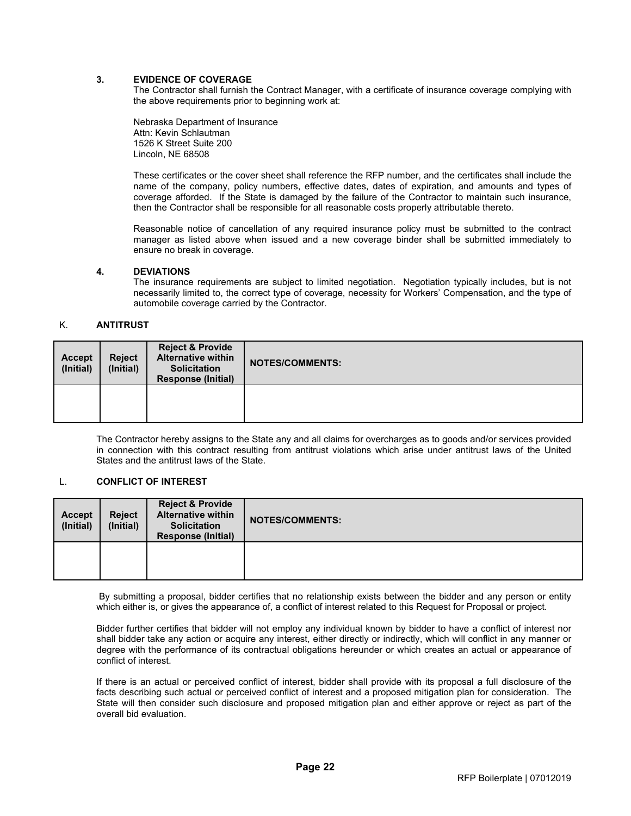### **3. EVIDENCE OF COVERAGE**

The Contractor shall furnish the Contract Manager, with a certificate of insurance coverage complying with the above requirements prior to beginning work at:

Nebraska Department of Insurance Attn: Kevin Schlautman 1526 K Street Suite 200 Lincoln, NE 68508

These certificates or the cover sheet shall reference the RFP number, and the certificates shall include the name of the company, policy numbers, effective dates, dates of expiration, and amounts and types of coverage afforded. If the State is damaged by the failure of the Contractor to maintain such insurance, then the Contractor shall be responsible for all reasonable costs properly attributable thereto.

Reasonable notice of cancellation of any required insurance policy must be submitted to the contract manager as listed above when issued and a new coverage binder shall be submitted immediately to ensure no break in coverage.

#### **4. DEVIATIONS**

The insurance requirements are subject to limited negotiation. Negotiation typically includes, but is not necessarily limited to, the correct type of coverage, necessity for Workers' Compensation, and the type of automobile coverage carried by the Contractor.

### <span id="page-30-0"></span>K. **ANTITRUST**

| Accept<br>(Initial) | <b>Reject</b><br>(Initial) | <b>Reject &amp; Provide</b><br><b>Alternative within</b><br><b>Solicitation</b><br><b>Response (Initial)</b> | <b>NOTES/COMMENTS:</b> |
|---------------------|----------------------------|--------------------------------------------------------------------------------------------------------------|------------------------|
|                     |                            |                                                                                                              |                        |

The Contractor hereby assigns to the State any and all claims for overcharges as to goods and/or services provided in connection with this contract resulting from antitrust violations which arise under antitrust laws of the United States and the antitrust laws of the State.

# <span id="page-30-1"></span>L. **CONFLICT OF INTEREST**

| <b>Accept</b><br>(Initial) | <b>Reject</b><br>(Initial) | <b>Reject &amp; Provide</b><br><b>Alternative within</b><br><b>Solicitation</b><br><b>Response (Initial)</b> | <b>NOTES/COMMENTS:</b> |
|----------------------------|----------------------------|--------------------------------------------------------------------------------------------------------------|------------------------|
|                            |                            |                                                                                                              |                        |

By submitting a proposal, bidder certifies that no relationship exists between the bidder and any person or entity which either is, or gives the appearance of, a conflict of interest related to this Request for Proposal or project.

Bidder further certifies that bidder will not employ any individual known by bidder to have a conflict of interest nor shall bidder take any action or acquire any interest, either directly or indirectly, which will conflict in any manner or degree with the performance of its contractual obligations hereunder or which creates an actual or appearance of conflict of interest.

If there is an actual or perceived conflict of interest, bidder shall provide with its proposal a full disclosure of the facts describing such actual or perceived conflict of interest and a proposed mitigation plan for consideration. The State will then consider such disclosure and proposed mitigation plan and either approve or reject as part of the overall bid evaluation.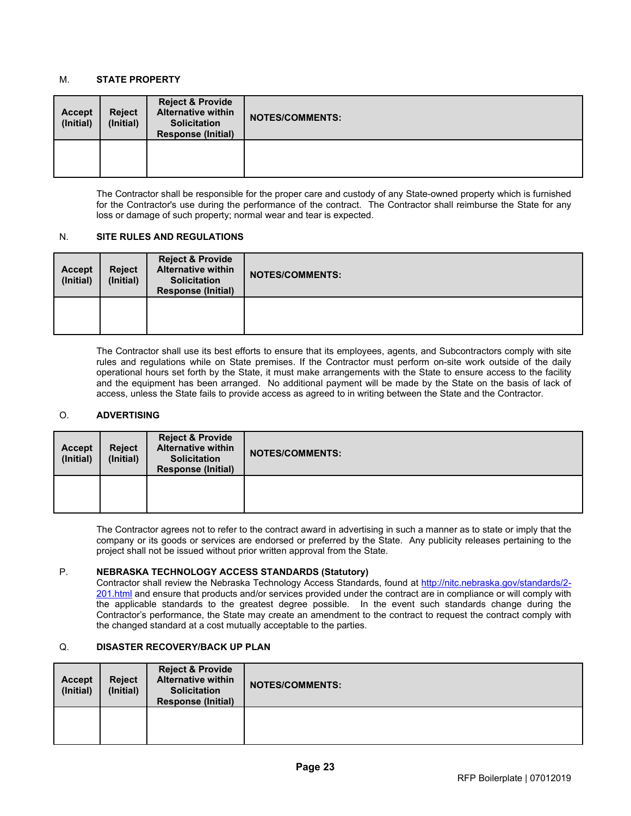# <span id="page-31-0"></span>M. **STATE PROPERTY**

| <b>Accept</b><br>(Initial) | <b>Reject</b><br>(Initial) | <b>Reject &amp; Provide</b><br><b>Alternative within</b><br><b>Solicitation</b><br><b>Response (Initial)</b> | <b>NOTES/COMMENTS:</b> |
|----------------------------|----------------------------|--------------------------------------------------------------------------------------------------------------|------------------------|
|                            |                            |                                                                                                              |                        |

The Contractor shall be responsible for the proper care and custody of any State-owned property which is furnished for the Contractor's use during the performance of the contract. The Contractor shall reimburse the State for any loss or damage of such property; normal wear and tear is expected.

### <span id="page-31-1"></span>N. **SITE RULES AND REGULATIONS**

| <b>Accept</b><br>(Initial) | <b>Reject</b><br>(Initial) | <b>Reject &amp; Provide</b><br><b>Alternative within</b><br><b>Solicitation</b><br><b>Response (Initial)</b> | <b>NOTES/COMMENTS:</b> |
|----------------------------|----------------------------|--------------------------------------------------------------------------------------------------------------|------------------------|
|                            |                            |                                                                                                              |                        |

The Contractor shall use its best efforts to ensure that its employees, agents, and Subcontractors comply with site rules and regulations while on State premises. If the Contractor must perform on-site work outside of the daily operational hours set forth by the State, it must make arrangements with the State to ensure access to the facility and the equipment has been arranged. No additional payment will be made by the State on the basis of lack of access, unless the State fails to provide access as agreed to in writing between the State and the Contractor.

# <span id="page-31-2"></span>O. **ADVERTISING**

| <b>Accept</b><br>(Initial) | <b>Reject</b><br>(Initial) | <b>Reject &amp; Provide</b><br><b>Alternative within</b><br><b>Solicitation</b><br><b>Response (Initial)</b> | <b>NOTES/COMMENTS:</b> |
|----------------------------|----------------------------|--------------------------------------------------------------------------------------------------------------|------------------------|
|                            |                            |                                                                                                              |                        |

The Contractor agrees not to refer to the contract award in advertising in such a manner as to state or imply that the company or its goods or services are endorsed or preferred by the State. Any publicity releases pertaining to the project shall not be issued without prior written approval from the State.

### <span id="page-31-3"></span>P. **NEBRASKA TECHNOLOGY ACCESS STANDARDS (Statutory)**

Contractor shall review the Nebraska Technology Access Standards, found at [http://nitc.nebraska.gov/standards/2-](http://nitc.nebraska.gov/standards/2-201.html) [201.html](http://nitc.nebraska.gov/standards/2-201.html) and ensure that products and/or services provided under the contract are in compliance or will comply with the applicable standards to the greatest degree possible. In the event such standards change during the Contractor's performance, the State may create an amendment to the contract to request the contract comply with the changed standard at a cost mutually acceptable to the parties.

# <span id="page-31-4"></span>Q. **DISASTER RECOVERY/BACK UP PLAN**

| <b>Accept</b><br>(Initial) | <b>Reject</b><br>(Initial) | <b>Reject &amp; Provide</b><br><b>Alternative within</b><br><b>Solicitation</b><br><b>Response (Initial)</b> | <b>NOTES/COMMENTS:</b> |
|----------------------------|----------------------------|--------------------------------------------------------------------------------------------------------------|------------------------|
|                            |                            |                                                                                                              |                        |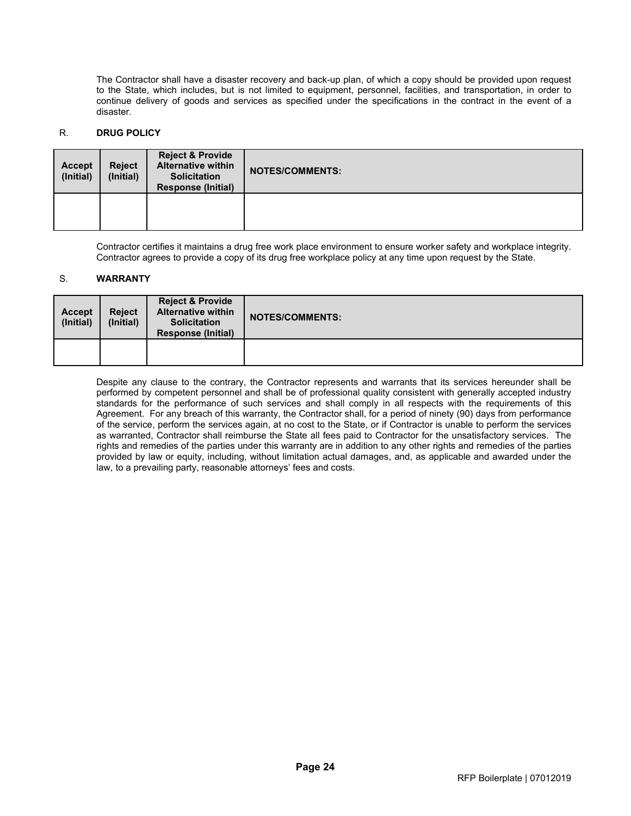The Contractor shall have a disaster recovery and back-up plan, of which a copy should be provided upon request to the State, which includes, but is not limited to equipment, personnel, facilities, and transportation, in order to continue delivery of goods and services as specified under the specifications in the contract in the event of a disaster.

# <span id="page-32-0"></span>R. **DRUG POLICY**

| <b>Accept</b><br>(Initial) | <b>Reject</b><br>(Initial) | <b>Reject &amp; Provide</b><br><b>Alternative within</b><br><b>Solicitation</b><br><b>Response (Initial)</b> | <b>NOTES/COMMENTS:</b> |
|----------------------------|----------------------------|--------------------------------------------------------------------------------------------------------------|------------------------|
|                            |                            |                                                                                                              |                        |

Contractor certifies it maintains a drug free work place environment to ensure worker safety and workplace integrity. Contractor agrees to provide a copy of its drug free workplace policy at any time upon request by the State.

### <span id="page-32-1"></span>S. **WARRANTY**

| <b>Accept</b><br>(Initial) | <b>Reject</b><br>(Initial) | <b>Reject &amp; Provide</b><br><b>Alternative within</b><br><b>Solicitation</b><br><b>Response (Initial)</b> | <b>NOTES/COMMENTS:</b> |
|----------------------------|----------------------------|--------------------------------------------------------------------------------------------------------------|------------------------|
|                            |                            |                                                                                                              |                        |

Despite any clause to the contrary, the Contractor represents and warrants that its services hereunder shall be performed by competent personnel and shall be of professional quality consistent with generally accepted industry standards for the performance of such services and shall comply in all respects with the requirements of this Agreement. For any breach of this warranty, the Contractor shall, for a period of ninety (90) days from performance of the service, perform the services again, at no cost to the State, or if Contractor is unable to perform the services as warranted, Contractor shall reimburse the State all fees paid to Contractor for the unsatisfactory services. The rights and remedies of the parties under this warranty are in addition to any other rights and remedies of the parties provided by law or equity, including, without limitation actual damages, and, as applicable and awarded under the law, to a prevailing party, reasonable attorneys' fees and costs.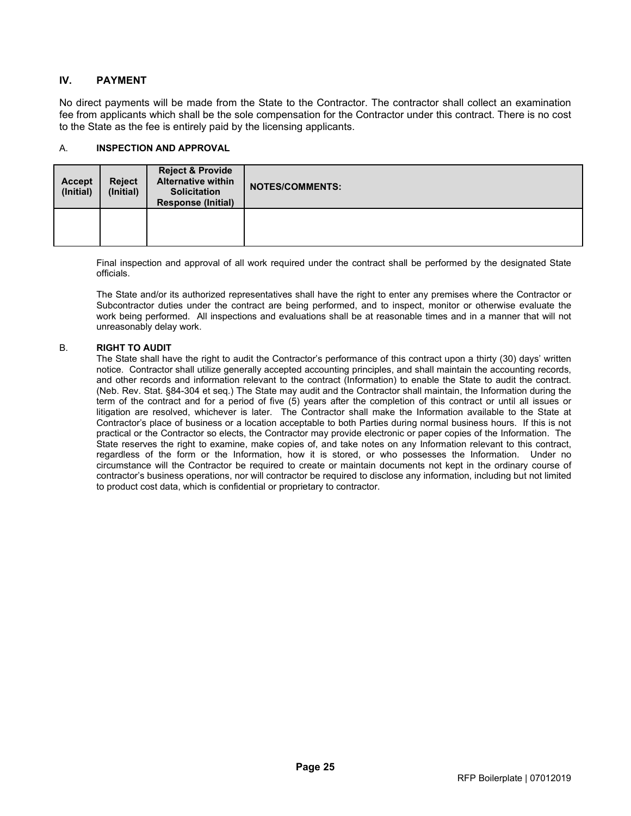# <span id="page-33-0"></span>**IV. PAYMENT**

No direct payments will be made from the State to the Contractor. The contractor shall collect an examination fee from applicants which shall be the sole compensation for the Contractor under this contract. There is no cost to the State as the fee is entirely paid by the licensing applicants.

### <span id="page-33-1"></span>A. **INSPECTION AND APPROVAL**

| <b>Accept</b><br>(Initial) | <b>Reject</b><br>(Initial) | <b>Reject &amp; Provide</b><br><b>Alternative within</b><br><b>Solicitation</b><br><b>Response (Initial)</b> | <b>NOTES/COMMENTS:</b> |
|----------------------------|----------------------------|--------------------------------------------------------------------------------------------------------------|------------------------|
|                            |                            |                                                                                                              |                        |

Final inspection and approval of all work required under the contract shall be performed by the designated State officials.

The State and/or its authorized representatives shall have the right to enter any premises where the Contractor or Subcontractor duties under the contract are being performed, and to inspect, monitor or otherwise evaluate the work being performed. All inspections and evaluations shall be at reasonable times and in a manner that will not unreasonably delay work.

### <span id="page-33-2"></span>B. **RIGHT TO AUDIT**

The State shall have the right to audit the Contractor's performance of this contract upon a thirty (30) days' written notice. Contractor shall utilize generally accepted accounting principles, and shall maintain the accounting records, and other records and information relevant to the contract (Information) to enable the State to audit the contract. (Neb. Rev. Stat. §84-304 et seq.) The State may audit and the Contractor shall maintain, the Information during the term of the contract and for a period of five (5) years after the completion of this contract or until all issues or litigation are resolved, whichever is later. The Contractor shall make the Information available to the State at Contractor's place of business or a location acceptable to both Parties during normal business hours. If this is not practical or the Contractor so elects, the Contractor may provide electronic or paper copies of the Information. The State reserves the right to examine, make copies of, and take notes on any Information relevant to this contract, regardless of the form or the Information, how it is stored, or who possesses the Information. Under no circumstance will the Contractor be required to create or maintain documents not kept in the ordinary course of contractor's business operations, nor will contractor be required to disclose any information, including but not limited to product cost data, which is confidential or proprietary to contractor.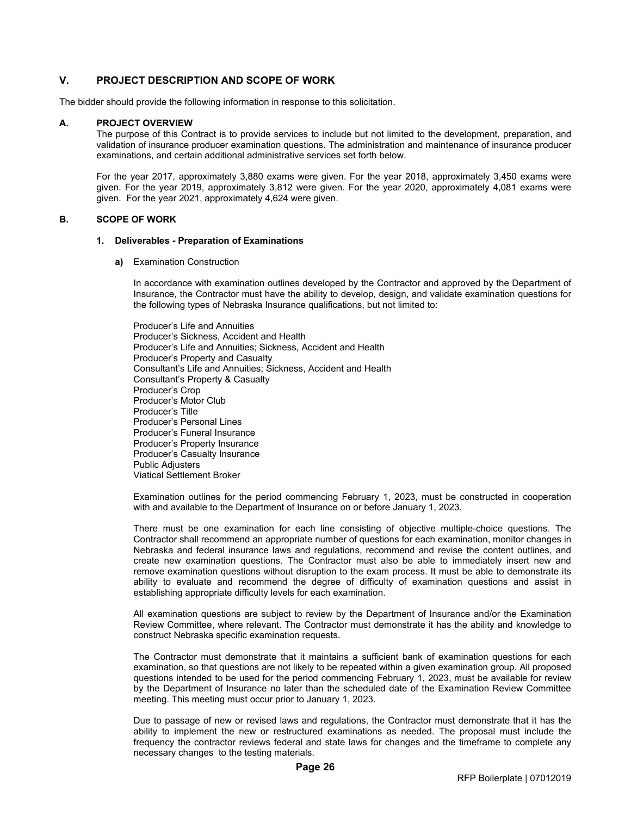# <span id="page-34-0"></span>**V. PROJECT DESCRIPTION AND SCOPE OF WORK**

The bidder should provide the following information in response to this solicitation.

#### **A. PROJECT OVERVIEW**

The purpose of this Contract is to provide services to include but not limited to the development, preparation, and validation of insurance producer examination questions. The administration and maintenance of insurance producer examinations, and certain additional administrative services set forth below.

For the year 2017, approximately 3,880 exams were given. For the year 2018, approximately 3,450 exams were given. For the year 2019, approximately 3,812 were given. For the year 2020, approximately 4,081 exams were given. For the year 2021, approximately 4,624 were given.

### **B. SCOPE OF WORK**

#### **1. Deliverables - Preparation of Examinations**

**a)** Examination Construction

In accordance with examination outlines developed by the Contractor and approved by the Department of Insurance, the Contractor must have the ability to develop, design, and validate examination questions for the following types of Nebraska Insurance qualifications, but not limited to:

Producer's Life and Annuities Producer's Sickness, Accident and Health Producer's Life and Annuities; Sickness, Accident and Health Producer's Property and Casualty Consultant's Life and Annuities; Sickness, Accident and Health Consultant's Property & Casualty Producer's Crop Producer's Motor Club Producer's Title Producer's Personal Lines Producer's Funeral Insurance Producer's Property Insurance Producer's Casualty Insurance Public Adjusters Viatical Settlement Broker

Examination outlines for the period commencing February 1, 2023, must be constructed in cooperation with and available to the Department of Insurance on or before January 1, 2023.

There must be one examination for each line consisting of objective multiple-choice questions. The Contractor shall recommend an appropriate number of questions for each examination, monitor changes in Nebraska and federal insurance laws and regulations, recommend and revise the content outlines, and create new examination questions. The Contractor must also be able to immediately insert new and remove examination questions without disruption to the exam process. It must be able to demonstrate its ability to evaluate and recommend the degree of difficulty of examination questions and assist in establishing appropriate difficulty levels for each examination.

All examination questions are subject to review by the Department of Insurance and/or the Examination Review Committee, where relevant. The Contractor must demonstrate it has the ability and knowledge to construct Nebraska specific examination requests.

The Contractor must demonstrate that it maintains a sufficient bank of examination questions for each examination, so that questions are not likely to be repeated within a given examination group. All proposed questions intended to be used for the period commencing February 1, 2023, must be available for review by the Department of Insurance no later than the scheduled date of the Examination Review Committee meeting. This meeting must occur prior to January 1, 2023.

Due to passage of new or revised laws and regulations, the Contractor must demonstrate that it has the ability to implement the new or restructured examinations as needed. The proposal must include the frequency the contractor reviews federal and state laws for changes and the timeframe to complete any necessary changes to the testing materials.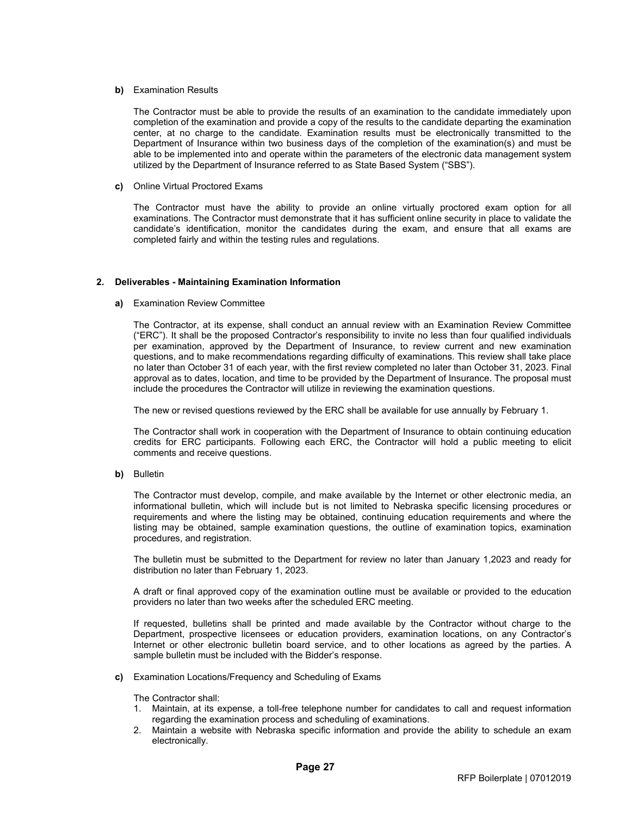#### **b)** Examination Results

The Contractor must be able to provide the results of an examination to the candidate immediately upon completion of the examination and provide a copy of the results to the candidate departing the examination center, at no charge to the candidate. Examination results must be electronically transmitted to the Department of Insurance within two business days of the completion of the examination(s) and must be able to be implemented into and operate within the parameters of the electronic data management system utilized by the Department of Insurance referred to as State Based System ("SBS").

**c)** Online Virtual Proctored Exams

The Contractor must have the ability to provide an online virtually proctored exam option for all examinations. The Contractor must demonstrate that it has sufficient online security in place to validate the candidate's identification, monitor the candidates during the exam, and ensure that all exams are completed fairly and within the testing rules and regulations.

### **2. Deliverables - Maintaining Examination Information**

#### **a)** Examination Review Committee

The Contractor, at its expense, shall conduct an annual review with an Examination Review Committee ("ERC"). It shall be the proposed Contractor's responsibility to invite no less than four qualified individuals per examination, approved by the Department of Insurance, to review current and new examination questions, and to make recommendations regarding difficulty of examinations. This review shall take place no later than October 31 of each year, with the first review completed no later than October 31, 2023. Final approval as to dates, location, and time to be provided by the Department of Insurance. The proposal must include the procedures the Contractor will utilize in reviewing the examination questions.

The new or revised questions reviewed by the ERC shall be available for use annually by February 1.

The Contractor shall work in cooperation with the Department of Insurance to obtain continuing education credits for ERC participants. Following each ERC, the Contractor will hold a public meeting to elicit comments and receive questions.

**b)** Bulletin

The Contractor must develop, compile, and make available by the Internet or other electronic media, an informational bulletin, which will include but is not limited to Nebraska specific licensing procedures or requirements and where the listing may be obtained, continuing education requirements and where the listing may be obtained, sample examination questions, the outline of examination topics, examination procedures, and registration.

The bulletin must be submitted to the Department for review no later than January 1,2023 and ready for distribution no later than February 1, 2023.

A draft or final approved copy of the examination outline must be available or provided to the education providers no later than two weeks after the scheduled ERC meeting.

If requested, bulletins shall be printed and made available by the Contractor without charge to the Department, prospective licensees or education providers, examination locations, on any Contractor's Internet or other electronic bulletin board service, and to other locations as agreed by the parties. A sample bulletin must be included with the Bidder's response.

**c)** Examination Locations/Frequency and Scheduling of Exams

The Contractor shall:

- 1. Maintain, at its expense, a toll-free telephone number for candidates to call and request information regarding the examination process and scheduling of examinations.
- 2. Maintain a website with Nebraska specific information and provide the ability to schedule an exam electronically.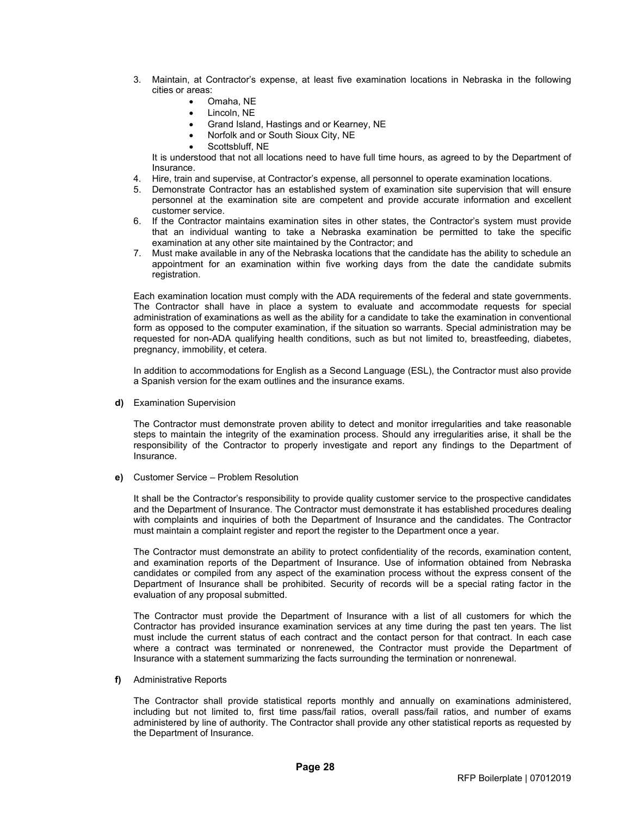- 3. Maintain, at Contractor's expense, at least five examination locations in Nebraska in the following cities or areas:
	- Omaha, NE
	- Lincoln, NE
	- Grand Island, Hastings and or Kearney, NE
	- Norfolk and or South Sioux City, NE
	- Scottsbluff, NE

It is understood that not all locations need to have full time hours, as agreed to by the Department of Insurance.

- 4. Hire, train and supervise, at Contractor's expense, all personnel to operate examination locations.
- 5. Demonstrate Contractor has an established system of examination site supervision that will ensure personnel at the examination site are competent and provide accurate information and excellent customer service.
- 6. If the Contractor maintains examination sites in other states, the Contractor's system must provide that an individual wanting to take a Nebraska examination be permitted to take the specific examination at any other site maintained by the Contractor; and
- 7. Must make available in any of the Nebraska locations that the candidate has the ability to schedule an appointment for an examination within five working days from the date the candidate submits registration.

Each examination location must comply with the ADA requirements of the federal and state governments. The Contractor shall have in place a system to evaluate and accommodate requests for special administration of examinations as well as the ability for a candidate to take the examination in conventional form as opposed to the computer examination, if the situation so warrants. Special administration may be requested for non-ADA qualifying health conditions, such as but not limited to, breastfeeding, diabetes, pregnancy, immobility, et cetera.

In addition to accommodations for English as a Second Language (ESL), the Contractor must also provide a Spanish version for the exam outlines and the insurance exams.

**d)** Examination Supervision

The Contractor must demonstrate proven ability to detect and monitor irregularities and take reasonable steps to maintain the integrity of the examination process. Should any irregularities arise, it shall be the responsibility of the Contractor to properly investigate and report any findings to the Department of **Insurance** 

**e)** Customer Service – Problem Resolution

It shall be the Contractor's responsibility to provide quality customer service to the prospective candidates and the Department of Insurance. The Contractor must demonstrate it has established procedures dealing with complaints and inquiries of both the Department of Insurance and the candidates. The Contractor must maintain a complaint register and report the register to the Department once a year.

The Contractor must demonstrate an ability to protect confidentiality of the records, examination content, and examination reports of the Department of Insurance. Use of information obtained from Nebraska candidates or compiled from any aspect of the examination process without the express consent of the Department of Insurance shall be prohibited. Security of records will be a special rating factor in the evaluation of any proposal submitted.

The Contractor must provide the Department of Insurance with a list of all customers for which the Contractor has provided insurance examination services at any time during the past ten years. The list must include the current status of each contract and the contact person for that contract. In each case where a contract was terminated or nonrenewed, the Contractor must provide the Department of Insurance with a statement summarizing the facts surrounding the termination or nonrenewal.

**f)** Administrative Reports

The Contractor shall provide statistical reports monthly and annually on examinations administered, including but not limited to, first time pass/fail ratios, overall pass/fail ratios, and number of exams administered by line of authority. The Contractor shall provide any other statistical reports as requested by the Department of Insurance.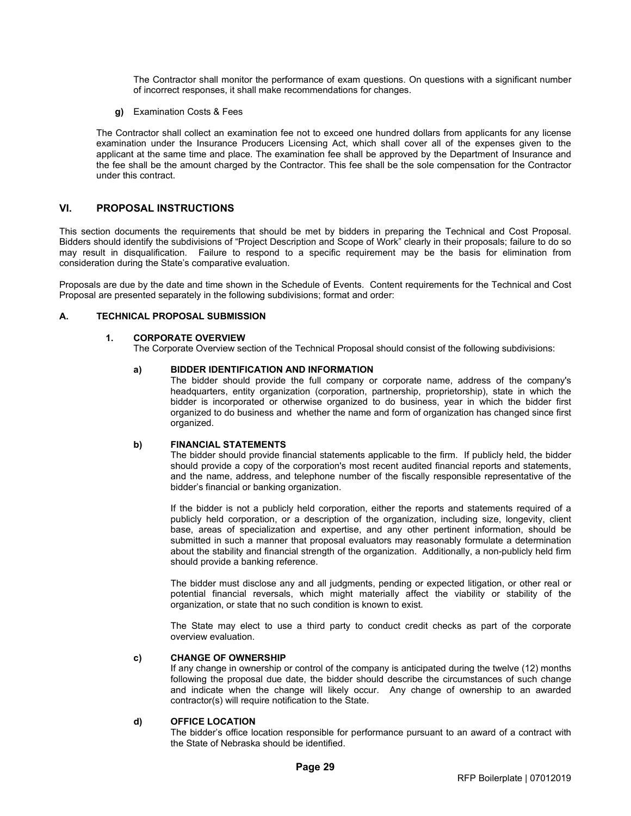The Contractor shall monitor the performance of exam questions. On questions with a significant number of incorrect responses, it shall make recommendations for changes.

**g)** Examination Costs & Fees

The Contractor shall collect an examination fee not to exceed one hundred dollars from applicants for any license examination under the Insurance Producers Licensing Act, which shall cover all of the expenses given to the applicant at the same time and place. The examination fee shall be approved by the Department of Insurance and the fee shall be the amount charged by the Contractor. This fee shall be the sole compensation for the Contractor under this contract.

### <span id="page-37-0"></span>**VI. PROPOSAL INSTRUCTIONS**

This section documents the requirements that should be met by bidders in preparing the Technical and Cost Proposal. Bidders should identify the subdivisions of "Project Description and Scope of Work" clearly in their proposals; failure to do so may result in disqualification. Failure to respond to a specific requirement may be the basis for elimination from consideration during the State's comparative evaluation.

Proposals are due by the date and time shown in the Schedule of Events. Content requirements for the Technical and Cost Proposal are presented separately in the following subdivisions; format and order:

### <span id="page-37-1"></span>**A. TECHNICAL PROPOSAL SUBMISSION**

#### **1. CORPORATE OVERVIEW**

The Corporate Overview section of the Technical Proposal should consist of the following subdivisions:

#### **a) BIDDER IDENTIFICATION AND INFORMATION**

The bidder should provide the full company or corporate name, address of the company's headquarters, entity organization (corporation, partnership, proprietorship), state in which the bidder is incorporated or otherwise organized to do business, year in which the bidder first organized to do business and whether the name and form of organization has changed since first organized.

#### **b) FINANCIAL STATEMENTS**

The bidder should provide financial statements applicable to the firm. If publicly held, the bidder should provide a copy of the corporation's most recent audited financial reports and statements, and the name, address, and telephone number of the fiscally responsible representative of the bidder's financial or banking organization.

If the bidder is not a publicly held corporation, either the reports and statements required of a publicly held corporation, or a description of the organization, including size, longevity, client base, areas of specialization and expertise, and any other pertinent information, should be submitted in such a manner that proposal evaluators may reasonably formulate a determination about the stability and financial strength of the organization. Additionally, a non-publicly held firm should provide a banking reference.

The bidder must disclose any and all judgments, pending or expected litigation, or other real or potential financial reversals, which might materially affect the viability or stability of the organization, or state that no such condition is known to exist.

The State may elect to use a third party to conduct credit checks as part of the corporate overview evaluation.

#### **c) CHANGE OF OWNERSHIP**

If any change in ownership or control of the company is anticipated during the twelve (12) months following the proposal due date, the bidder should describe the circumstances of such change and indicate when the change will likely occur. Any change of ownership to an awarded contractor(s) will require notification to the State.

### **d) OFFICE LOCATION**

The bidder's office location responsible for performance pursuant to an award of a contract with the State of Nebraska should be identified.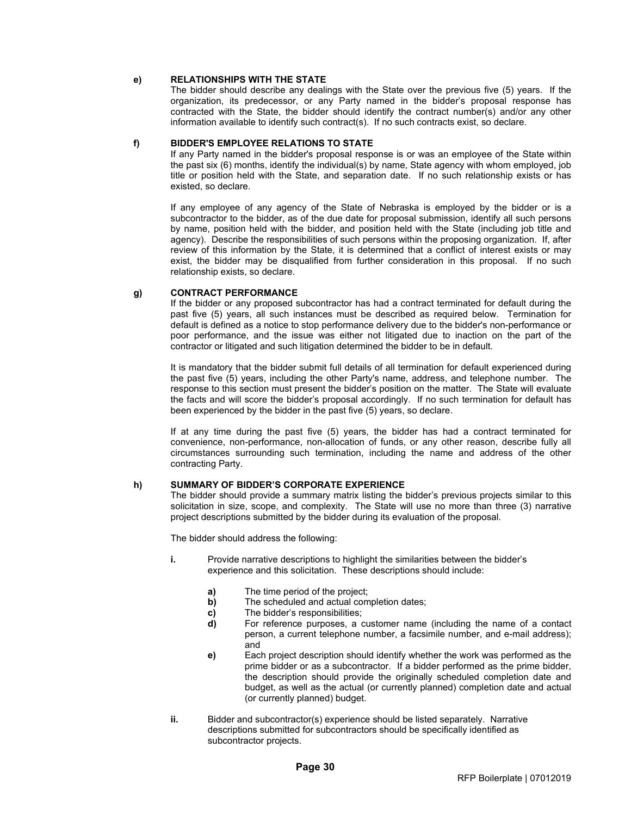### **e) RELATIONSHIPS WITH THE STATE**

The bidder should describe any dealings with the State over the previous five (5) years. If the organization, its predecessor, or any Party named in the bidder's proposal response has contracted with the State, the bidder should identify the contract number(s) and/or any other information available to identify such contract(s). If no such contracts exist, so declare.

#### **f) BIDDER'S EMPLOYEE RELATIONS TO STATE**

If any Party named in the bidder's proposal response is or was an employee of the State within the past six (6) months, identify the individual(s) by name, State agency with whom employed, job title or position held with the State, and separation date. If no such relationship exists or has existed, so declare.

If any employee of any agency of the State of Nebraska is employed by the bidder or is a subcontractor to the bidder, as of the due date for proposal submission, identify all such persons by name, position held with the bidder, and position held with the State (including job title and agency). Describe the responsibilities of such persons within the proposing organization. If, after review of this information by the State, it is determined that a conflict of interest exists or may exist, the bidder may be disqualified from further consideration in this proposal. If no such relationship exists, so declare.

#### **g) CONTRACT PERFORMANCE**

If the bidder or any proposed subcontractor has had a contract terminated for default during the past five (5) years, all such instances must be described as required below. Termination for default is defined as a notice to stop performance delivery due to the bidder's non-performance or poor performance, and the issue was either not litigated due to inaction on the part of the contractor or litigated and such litigation determined the bidder to be in default.

It is mandatory that the bidder submit full details of all termination for default experienced during the past five (5) years, including the other Party's name, address, and telephone number. The response to this section must present the bidder's position on the matter. The State will evaluate the facts and will score the bidder's proposal accordingly. If no such termination for default has been experienced by the bidder in the past five (5) years, so declare.

If at any time during the past five (5) years, the bidder has had a contract terminated for convenience, non-performance, non-allocation of funds, or any other reason, describe fully all circumstances surrounding such termination, including the name and address of the other contracting Party.

### **h) SUMMARY OF BIDDER'S CORPORATE EXPERIENCE**

The bidder should provide a summary matrix listing the bidder's previous projects similar to this solicitation in size, scope, and complexity. The State will use no more than three (3) narrative project descriptions submitted by the bidder during its evaluation of the proposal.

The bidder should address the following:

- **i.** Provide narrative descriptions to highlight the similarities between the bidder's experience and this solicitation. These descriptions should include:
	- **a)** The time period of the project;
	- **b)** The scheduled and actual completion dates;
	- **c)** The bidder's responsibilities;<br>**d)** For reference purposes, a d
	- **d)** For reference purposes, a customer name (including the name of a contact person, a current telephone number, a facsimile number, and e-mail address); and
	- **e)** Each project description should identify whether the work was performed as the prime bidder or as a subcontractor. If a bidder performed as the prime bidder, the description should provide the originally scheduled completion date and budget, as well as the actual (or currently planned) completion date and actual (or currently planned) budget.
- **ii.** Bidder and subcontractor(s) experience should be listed separately. Narrative descriptions submitted for subcontractors should be specifically identified as subcontractor projects.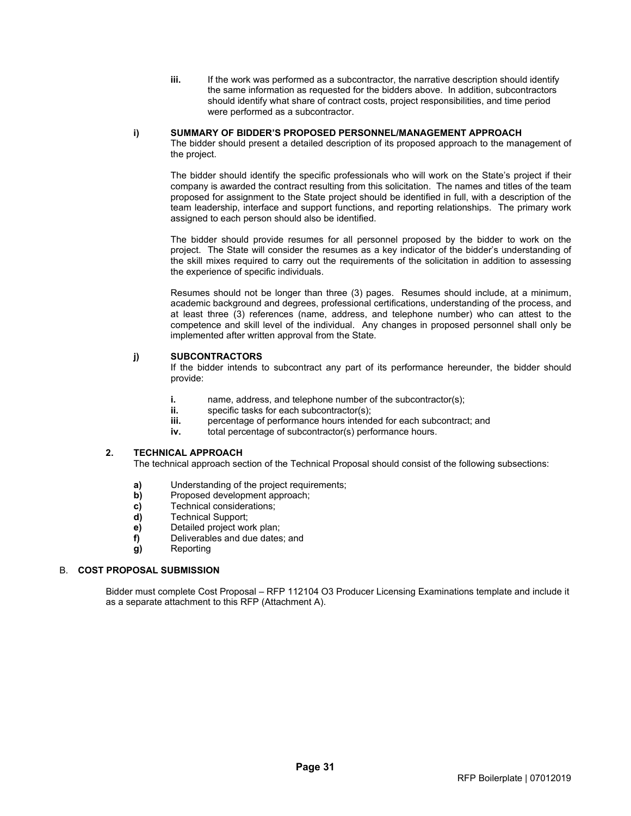**iii.** If the work was performed as a subcontractor, the narrative description should identify the same information as requested for the bidders above. In addition, subcontractors should identify what share of contract costs, project responsibilities, and time period were performed as a subcontractor.

### **i) SUMMARY OF BIDDER'S PROPOSED PERSONNEL/MANAGEMENT APPROACH**

The bidder should present a detailed description of its proposed approach to the management of the project.

The bidder should identify the specific professionals who will work on the State's project if their company is awarded the contract resulting from this solicitation. The names and titles of the team proposed for assignment to the State project should be identified in full, with a description of the team leadership, interface and support functions, and reporting relationships. The primary work assigned to each person should also be identified.

The bidder should provide resumes for all personnel proposed by the bidder to work on the project. The State will consider the resumes as a key indicator of the bidder's understanding of the skill mixes required to carry out the requirements of the solicitation in addition to assessing the experience of specific individuals.

Resumes should not be longer than three (3) pages. Resumes should include, at a minimum, academic background and degrees, professional certifications, understanding of the process, and at least three (3) references (name, address, and telephone number) who can attest to the competence and skill level of the individual. Any changes in proposed personnel shall only be implemented after written approval from the State.

# **j) SUBCONTRACTORS**

If the bidder intends to subcontract any part of its performance hereunder, the bidder should provide:

- **i.** name, address, and telephone number of the subcontractor(s);
- **ii.** specific tasks for each subcontractor(s);<br>**iii.** percentage of performance hours intend
- percentage of performance hours intended for each subcontract; and
- **iv.** total percentage of subcontractor(s) performance hours.

# **2. TECHNICAL APPROACH**

The technical approach section of the Technical Proposal should consist of the following subsections:

- **a)** Understanding of the project requirements;<br>**b**) Proposed development approach:
- **b)** Proposed development approach;
- **c)** Technical considerations;<br>**d)** Technical Support;
- **d)** Technical Support;
- **e)** Detailed project work plan;
- **f)** Deliverables and due dates; and
- **g)** Reporting

# <span id="page-39-0"></span>B. **COST PROPOSAL SUBMISSION**

Bidder must complete Cost Proposal – RFP 112104 O3 Producer Licensing Examinations template and include it as a separate attachment to this RFP (Attachment A).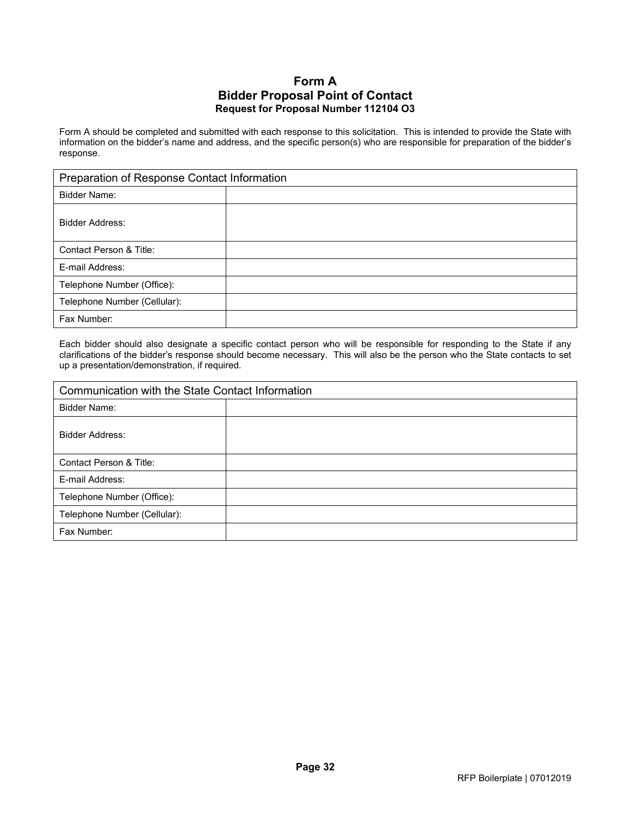# **Form A Bidder Proposal Point of Contact Request for Proposal Number 112104 O3**

<span id="page-40-0"></span>Form A should be completed and submitted with each response to this solicitation. This is intended to provide the State with information on the bidder's name and address, and the specific person(s) who are responsible for preparation of the bidder's response.

| Preparation of Response Contact Information |  |  |
|---------------------------------------------|--|--|
| Bidder Name:                                |  |  |
| Bidder Address:                             |  |  |
| Contact Person & Title:                     |  |  |
| E-mail Address:                             |  |  |
| Telephone Number (Office):                  |  |  |
| Telephone Number (Cellular):                |  |  |
| Fax Number:                                 |  |  |

Each bidder should also designate a specific contact person who will be responsible for responding to the State if any clarifications of the bidder's response should become necessary. This will also be the person who the State contacts to set up a presentation/demonstration, if required.

| Communication with the State Contact Information |  |  |
|--------------------------------------------------|--|--|
| Bidder Name:                                     |  |  |
| Bidder Address:                                  |  |  |
| Contact Person & Title:                          |  |  |
| E-mail Address:                                  |  |  |
| Telephone Number (Office):                       |  |  |
| Telephone Number (Cellular):                     |  |  |
| Fax Number:                                      |  |  |